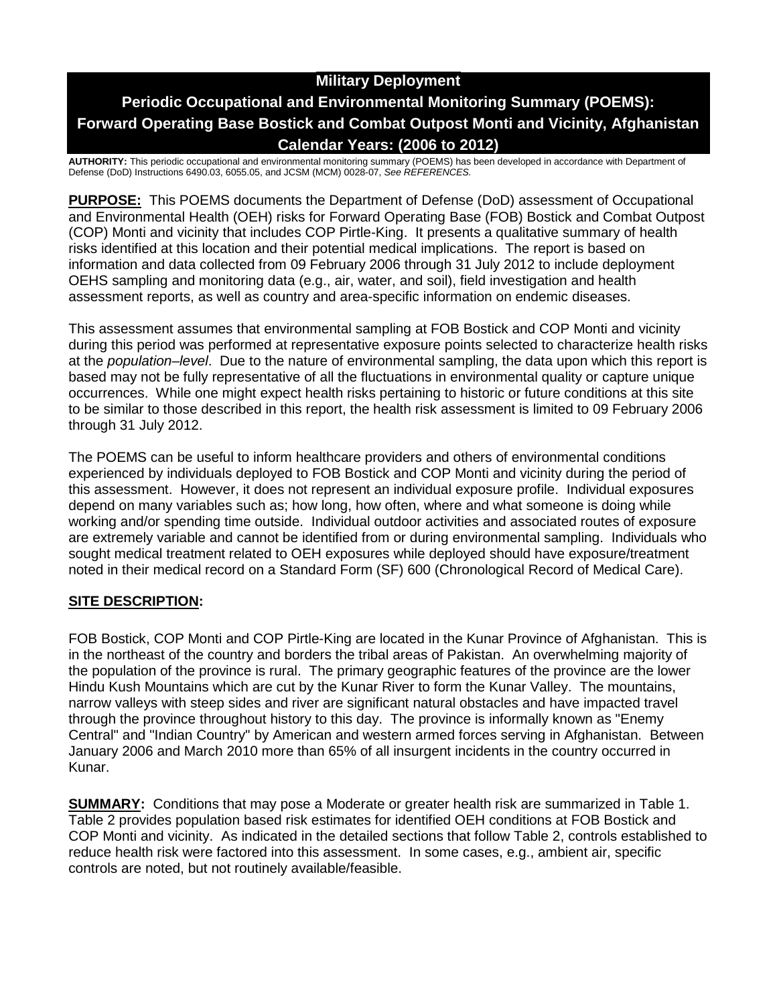# **Military Deployment**

# **Periodic Occupational and Environmental Monitoring Summary (POEMS): Forward Operating Base Bostick and Combat Outpost Monti and Vicinity, Afghanistan Calendar Years: (2006 to 2012)**

**AUTHORITY:** This periodic occupational and environmental monitoring summary (POEMS) has been developed in accordance with Department of Defense (DoD) Instructions 6490.03, 6055.05, and JCSM (MCM) 0028-07, *See REFERENCES.*

**PURPOSE:** This POEMS documents the Department of Defense (DoD) assessment of Occupational and Environmental Health (OEH) risks for Forward Operating Base (FOB) Bostick and Combat Outpost (COP) Monti and vicinity that includes COP Pirtle-King. It presents a qualitative summary of health risks identified at this location and their potential medical implications. The report is based on information and data collected from 09 February 2006 through 31 July 2012 to include deployment OEHS sampling and monitoring data (e.g., air, water, and soil), field investigation and health assessment reports, as well as country and area-specific information on endemic diseases.

This assessment assumes that environmental sampling at FOB Bostick and COP Monti and vicinity during this period was performed at representative exposure points selected to characterize health risks at the *population–level*. Due to the nature of environmental sampling, the data upon which this report is based may not be fully representative of all the fluctuations in environmental quality or capture unique occurrences. While one might expect health risks pertaining to historic or future conditions at this site to be similar to those described in this report, the health risk assessment is limited to 09 February 2006 through 31 July 2012.

The POEMS can be useful to inform healthcare providers and others of environmental conditions experienced by individuals deployed to FOB Bostick and COP Monti and vicinity during the period of this assessment. However, it does not represent an individual exposure profile. Individual exposures depend on many variables such as; how long, how often, where and what someone is doing while working and/or spending time outside. Individual outdoor activities and associated routes of exposure are extremely variable and cannot be identified from or during environmental sampling. Individuals who sought medical treatment related to OEH exposures while deployed should have exposure/treatment noted in their medical record on a Standard Form (SF) 600 (Chronological Record of Medical Care).

# **SITE DESCRIPTION:**

FOB Bostick, COP Monti and COP Pirtle-King are located in the Kunar Province of Afghanistan. This is in the northeast of the country and borders the tribal areas of Pakistan. An overwhelming majority of the population of the province is rural. The primary geographic features of the province are the lower Hindu Kush Mountains which are cut by the Kunar River to form the Kunar Valley. The mountains, narrow valleys with steep sides and river are significant natural obstacles and have impacted travel through the province throughout history to this day. The province is informally known as "Enemy Central" and "Indian Country" by American and western armed forces serving in Afghanistan. Between January 2006 and March 2010 more than 65% of all insurgent incidents in the country occurred in Kunar.

**SUMMARY:** Conditions that may pose a Moderate or greater health risk are summarized in Table 1. Table 2 provides population based risk estimates for identified OEH conditions at FOB Bostick and COP Monti and vicinity. As indicated in the detailed sections that follow Table 2, controls established to reduce health risk were factored into this assessment. In some cases, e.g., ambient air, specific controls are noted, but not routinely available/feasible.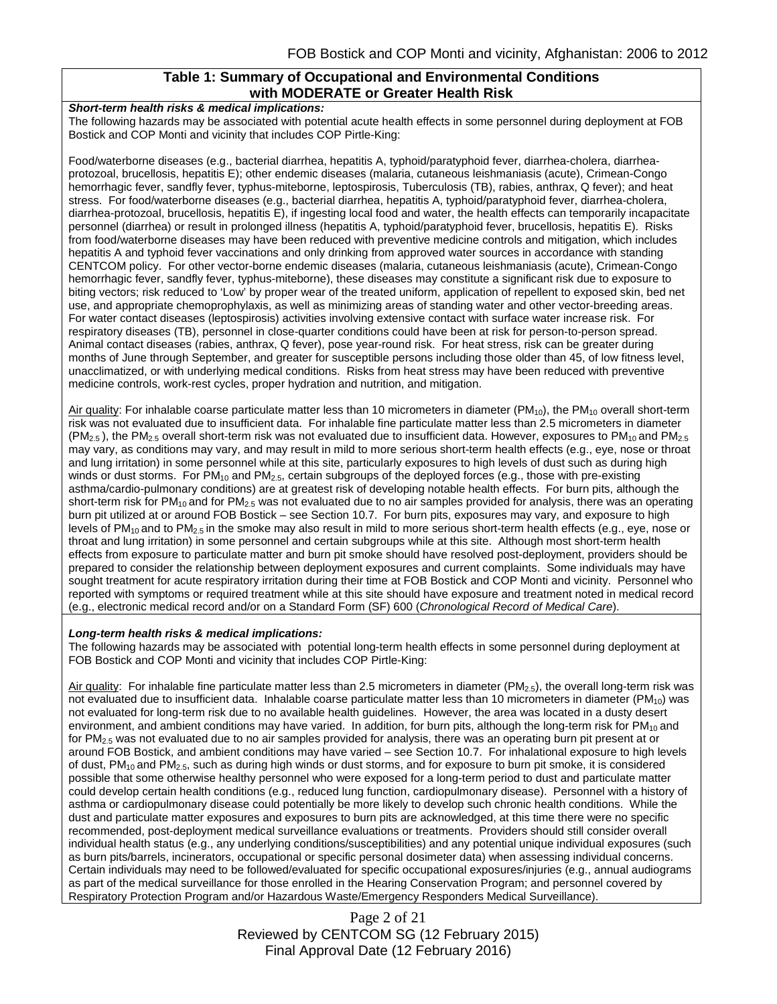#### **Table 1: Summary of Occupational and Environmental Conditions with MODERATE or Greater Health Risk**

*Short-term health risks & medical implications:*

The following hazards may be associated with potential acute health effects in some personnel during deployment at FOB Bostick and COP Monti and vicinity that includes COP Pirtle-King:

Food/waterborne diseases (e.g., bacterial diarrhea, hepatitis A, typhoid/paratyphoid fever, diarrhea-cholera, diarrheaprotozoal, brucellosis, hepatitis E); other endemic diseases (malaria, cutaneous leishmaniasis (acute), Crimean-Congo hemorrhagic fever, sandfly fever, typhus-miteborne, leptospirosis, Tuberculosis (TB), rabies, anthrax, Q fever); and heat stress. For food/waterborne diseases (e.g., bacterial diarrhea, hepatitis A, typhoid/paratyphoid fever, diarrhea-cholera, diarrhea-protozoal, brucellosis, hepatitis E), if ingesting local food and water, the health effects can temporarily incapacitate personnel (diarrhea) or result in prolonged illness (hepatitis A, typhoid/paratyphoid fever, brucellosis, hepatitis E). Risks from food/waterborne diseases may have been reduced with preventive medicine controls and mitigation, which includes hepatitis A and typhoid fever vaccinations and only drinking from approved water sources in accordance with standing CENTCOM policy. For other vector-borne endemic diseases (malaria, cutaneous leishmaniasis (acute), Crimean-Congo hemorrhagic fever, sandfly fever, typhus-miteborne), these diseases may constitute a significant risk due to exposure to biting vectors; risk reduced to 'Low' by proper wear of the treated uniform, application of repellent to exposed skin, bed net use, and appropriate chemoprophylaxis, as well as minimizing areas of standing water and other vector-breeding areas. For water contact diseases (leptospirosis) activities involving extensive contact with surface water increase risk. For respiratory diseases (TB), personnel in close-quarter conditions could have been at risk for person-to-person spread. Animal contact diseases (rabies, anthrax, Q fever), pose year-round risk. For heat stress, risk can be greater during months of June through September, and greater for susceptible persons including those older than 45, of low fitness level, unacclimatized, or with underlying medical conditions. Risks from heat stress may have been reduced with preventive medicine controls, work-rest cycles, proper hydration and nutrition, and mitigation.

Air quality: For inhalable coarse particulate matter less than 10 micrometers in diameter (PM<sub>10</sub>), the PM<sub>10</sub> overall short-term risk was not evaluated due to insufficient data. For inhalable fine particulate matter less than 2.5 micrometers in diameter  $(PM<sub>2.5</sub>)$ , the PM<sub>2.5</sub> overall short-term risk was not evaluated due to insufficient data. However, exposures to PM<sub>10</sub> and PM<sub>2.5</sub> may vary, as conditions may vary, and may result in mild to more serious short-term health effects (e.g., eye, nose or throat and lung irritation) in some personnel while at this site, particularly exposures to high levels of dust such as during high winds or dust storms. For  $PM_{10}$  and  $PM_{2.5}$ , certain subgroups of the deployed forces (e.g., those with pre-existing asthma/cardio-pulmonary conditions) are at greatest risk of developing notable health effects. For burn pits, although the short-term risk for  $PM_{10}$  and for  $PM_{2.5}$  was not evaluated due to no air samples provided for analysis, there was an operating burn pit utilized at or around FOB Bostick – see Section 10.7. For burn pits, exposures may vary, and exposure to high levels of PM<sub>10</sub> and to PM<sub>2.5</sub> in the smoke may also result in mild to more serious short-term health effects (e.g., eye, nose or throat and lung irritation) in some personnel and certain subgroups while at this site. Although most short-term health effects from exposure to particulate matter and burn pit smoke should have resolved post-deployment, providers should be prepared to consider the relationship between deployment exposures and current complaints. Some individuals may have sought treatment for acute respiratory irritation during their time at FOB Bostick and COP Monti and vicinity. Personnel who reported with symptoms or required treatment while at this site should have exposure and treatment noted in medical record (e.g., electronic medical record and/or on a Standard Form (SF) 600 (*Chronological Record of Medical Care*).

#### *Long-term health risks & medical implications:*

The following hazards may be associated with potential long-term health effects in some personnel during deployment at FOB Bostick and COP Monti and vicinity that includes COP Pirtle-King:

Air quality: For inhalable fine particulate matter less than 2.5 micrometers in diameter (PM<sub>2.5</sub>), the overall long-term risk was not evaluated due to insufficient data. Inhalable coarse particulate matter less than 10 micrometers in diameter (PM<sub>10</sub>) was not evaluated for long-term risk due to no available health guidelines. However, the area was located in a dusty desert environment, and ambient conditions may have varied. In addition, for burn pits, although the long-term risk for  $PM_{10}$  and for PM<sub>2.5</sub> was not evaluated due to no air samples provided for analysis, there was an operating burn pit present at or around FOB Bostick, and ambient conditions may have varied – see Section 10.7. For inhalational exposure to high levels of dust,  $PM_{10}$  and  $PM_{2.5}$ , such as during high winds or dust storms, and for exposure to burn pit smoke, it is considered possible that some otherwise healthy personnel who were exposed for a long-term period to dust and particulate matter could develop certain health conditions (e.g., reduced lung function, cardiopulmonary disease). Personnel with a history of asthma or cardiopulmonary disease could potentially be more likely to develop such chronic health conditions. While the dust and particulate matter exposures and exposures to burn pits are acknowledged, at this time there were no specific recommended, post-deployment medical surveillance evaluations or treatments. Providers should still consider overall individual health status (e.g., any underlying conditions/susceptibilities) and any potential unique individual exposures (such as burn pits/barrels, incinerators, occupational or specific personal dosimeter data) when assessing individual concerns. Certain individuals may need to be followed/evaluated for specific occupational exposures/injuries (e.g., annual audiograms as part of the medical surveillance for those enrolled in the Hearing Conservation Program; and personnel covered by Respiratory Protection Program and/or Hazardous Waste/Emergency Responders Medical Surveillance).

> Page 2 of 21 Reviewed by CENTCOM SG (12 February 2015) Final Approval Date (12 February 2016)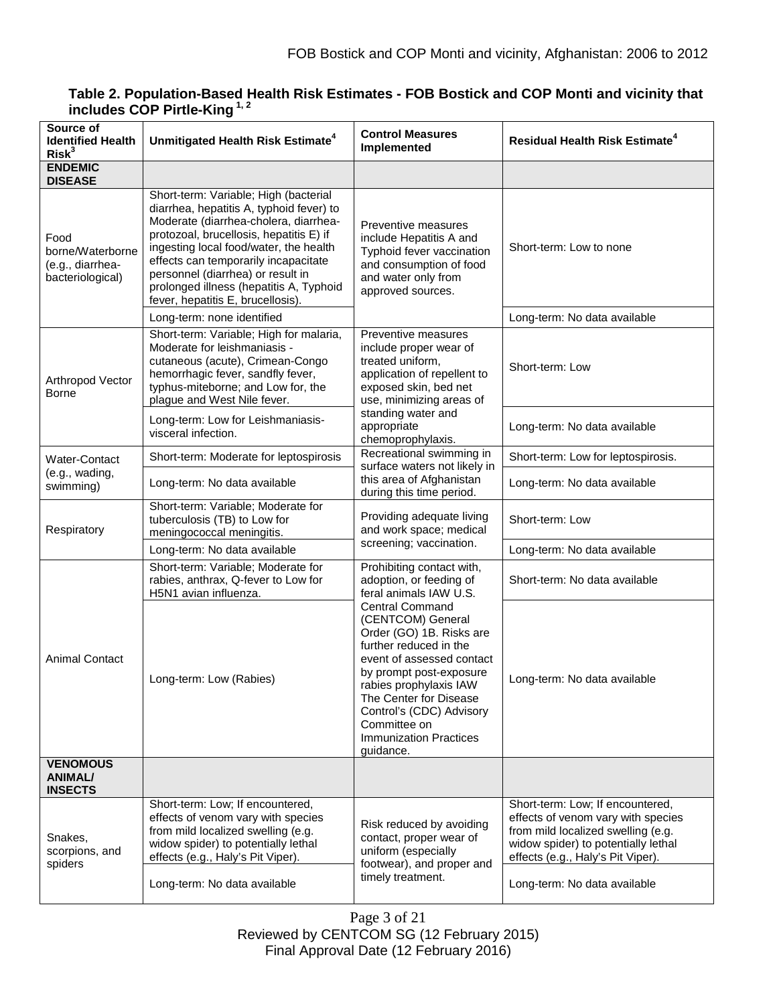| Source of<br><b>Identified Health</b><br>Risk <sup>3</sup>       | Unmitigated Health Risk Estimate <sup>4</sup>                                                                                                                                                                                                                                                                                                                                | <b>Control Measures</b><br>Implemented                                                                                                                                                                                                                                                                                                                                                    | <b>Residual Health Risk Estimate<sup>4</sup></b>                                                                                                                                         |
|------------------------------------------------------------------|------------------------------------------------------------------------------------------------------------------------------------------------------------------------------------------------------------------------------------------------------------------------------------------------------------------------------------------------------------------------------|-------------------------------------------------------------------------------------------------------------------------------------------------------------------------------------------------------------------------------------------------------------------------------------------------------------------------------------------------------------------------------------------|------------------------------------------------------------------------------------------------------------------------------------------------------------------------------------------|
| <b>ENDEMIC</b><br><b>DISEASE</b>                                 |                                                                                                                                                                                                                                                                                                                                                                              |                                                                                                                                                                                                                                                                                                                                                                                           |                                                                                                                                                                                          |
| Food<br>borne/Waterborne<br>(e.g., diarrhea-<br>bacteriological) | Short-term: Variable; High (bacterial<br>diarrhea, hepatitis A, typhoid fever) to<br>Moderate (diarrhea-cholera, diarrhea-<br>protozoal, brucellosis, hepatitis E) if<br>ingesting local food/water, the health<br>effects can temporarily incapacitate<br>personnel (diarrhea) or result in<br>prolonged illness (hepatitis A, Typhoid<br>fever, hepatitis E, brucellosis). | Preventive measures<br>include Hepatitis A and<br>Typhoid fever vaccination<br>and consumption of food<br>and water only from<br>approved sources.                                                                                                                                                                                                                                        | Short-term: Low to none                                                                                                                                                                  |
|                                                                  | Long-term: none identified                                                                                                                                                                                                                                                                                                                                                   |                                                                                                                                                                                                                                                                                                                                                                                           | Long-term: No data available                                                                                                                                                             |
| Arthropod Vector<br><b>Borne</b>                                 | Short-term: Variable; High for malaria,<br>Moderate for leishmaniasis -<br>cutaneous (acute), Crimean-Congo<br>hemorrhagic fever, sandfly fever,<br>typhus-miteborne; and Low for, the<br>plague and West Nile fever.                                                                                                                                                        | Preventive measures<br>include proper wear of<br>treated uniform,<br>application of repellent to<br>exposed skin, bed net<br>use, minimizing areas of<br>standing water and<br>appropriate<br>chemoprophylaxis.                                                                                                                                                                           | Short-term: Low                                                                                                                                                                          |
|                                                                  | Long-term: Low for Leishmaniasis-<br>visceral infection.                                                                                                                                                                                                                                                                                                                     |                                                                                                                                                                                                                                                                                                                                                                                           | Long-term: No data available                                                                                                                                                             |
| <b>Water-Contact</b>                                             | Short-term: Moderate for leptospirosis                                                                                                                                                                                                                                                                                                                                       | Recreational swimming in<br>surface waters not likely in<br>this area of Afghanistan<br>during this time period.                                                                                                                                                                                                                                                                          | Short-term: Low for leptospirosis.                                                                                                                                                       |
| (e.g., wading,<br>swimming)                                      | Long-term: No data available                                                                                                                                                                                                                                                                                                                                                 |                                                                                                                                                                                                                                                                                                                                                                                           | Long-term: No data available                                                                                                                                                             |
| Respiratory                                                      | Short-term: Variable; Moderate for<br>tuberculosis (TB) to Low for<br>meningococcal meningitis.                                                                                                                                                                                                                                                                              | Providing adequate living<br>and work space; medical<br>screening; vaccination.                                                                                                                                                                                                                                                                                                           | Short-term: Low                                                                                                                                                                          |
|                                                                  | Long-term: No data available                                                                                                                                                                                                                                                                                                                                                 |                                                                                                                                                                                                                                                                                                                                                                                           | Long-term: No data available                                                                                                                                                             |
| <b>Animal Contact</b>                                            | Short-term: Variable; Moderate for<br>rabies, anthrax, Q-fever to Low for<br>H5N1 avian influenza.                                                                                                                                                                                                                                                                           | Prohibiting contact with,<br>adoption, or feeding of<br>feral animals IAW U.S.<br><b>Central Command</b><br>(CENTCOM) General<br>Order (GO) 1B. Risks are<br>further reduced in the<br>event of assessed contact<br>by prompt post-exposure<br>rabies prophylaxis IAW<br>The Center for Disease<br>Control's (CDC) Advisory<br>Committee on<br><b>Immunization Practices</b><br>guidance. | Short-term: No data available                                                                                                                                                            |
|                                                                  | Long-term: Low (Rabies)                                                                                                                                                                                                                                                                                                                                                      |                                                                                                                                                                                                                                                                                                                                                                                           | Long-term: No data available                                                                                                                                                             |
| <b>VENOMOUS</b><br><b>ANIMAL/</b><br><b>INSECTS</b>              |                                                                                                                                                                                                                                                                                                                                                                              |                                                                                                                                                                                                                                                                                                                                                                                           |                                                                                                                                                                                          |
| Snakes,<br>scorpions, and<br>spiders                             | Short-term: Low; If encountered,<br>effects of venom vary with species<br>from mild localized swelling (e.g.<br>widow spider) to potentially lethal<br>effects (e.g., Haly's Pit Viper).                                                                                                                                                                                     | Risk reduced by avoiding<br>contact, proper wear of<br>uniform (especially<br>footwear), and proper and<br>timely treatment.                                                                                                                                                                                                                                                              | Short-term: Low; If encountered,<br>effects of venom vary with species<br>from mild localized swelling (e.g.<br>widow spider) to potentially lethal<br>effects (e.g., Haly's Pit Viper). |
|                                                                  | Long-term: No data available                                                                                                                                                                                                                                                                                                                                                 |                                                                                                                                                                                                                                                                                                                                                                                           | Long-term: No data available                                                                                                                                                             |

# **Table 2. Population-Based Health Risk Estimates - FOB Bostick and COP Monti and vicinity that includes COP Pirtle-King 1, 2**

Page 3 of 21

Reviewed by CENTCOM SG (12 February 2015) Final Approval Date (12 February 2016)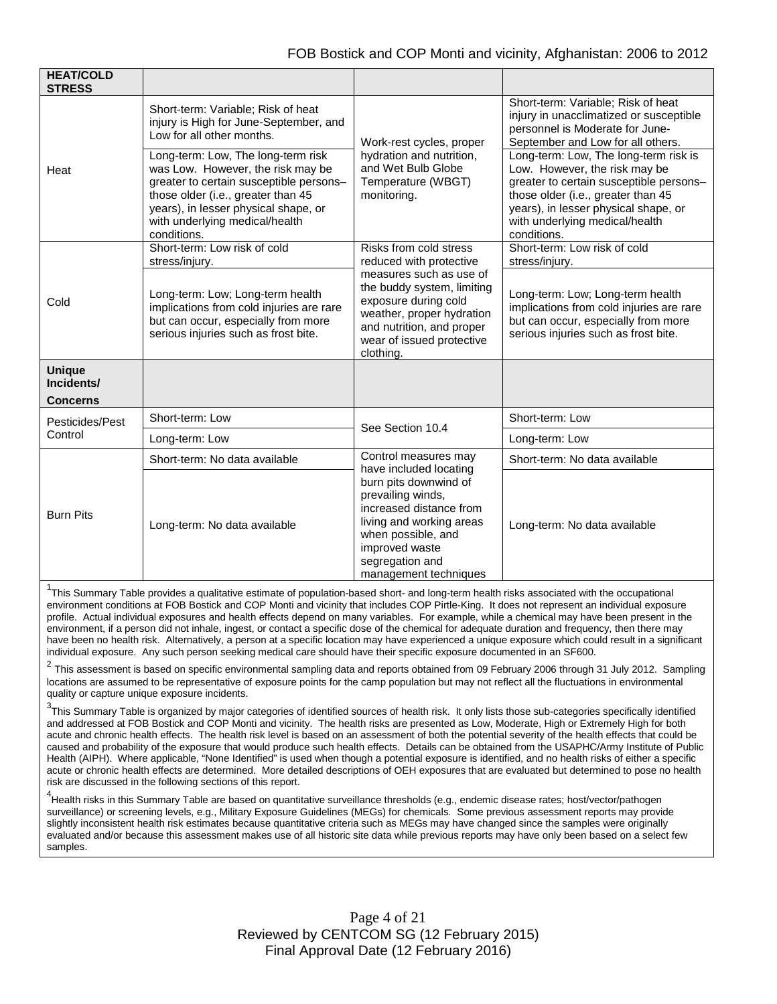| <b>HEAT/COLD</b><br><b>STRESS</b> |                                                                                                                                                                                                                                                   |                                                                                                                                                                                                                                         |                                                                                                                                                                                                                                                  |
|-----------------------------------|---------------------------------------------------------------------------------------------------------------------------------------------------------------------------------------------------------------------------------------------------|-----------------------------------------------------------------------------------------------------------------------------------------------------------------------------------------------------------------------------------------|--------------------------------------------------------------------------------------------------------------------------------------------------------------------------------------------------------------------------------------------------|
| Heat                              | Short-term: Variable; Risk of heat<br>injury is High for June-September, and<br>Low for all other months.                                                                                                                                         | Work-rest cycles, proper<br>hydration and nutrition,<br>and Wet Bulb Globe<br>Temperature (WBGT)<br>monitoring.                                                                                                                         | Short-term: Variable; Risk of heat<br>injury in unacclimatized or susceptible<br>personnel is Moderate for June-<br>September and Low for all others.                                                                                            |
|                                   | Long-term: Low, The long-term risk<br>was Low. However, the risk may be<br>greater to certain susceptible persons-<br>those older (i.e., greater than 45<br>years), in lesser physical shape, or<br>with underlying medical/health<br>conditions. |                                                                                                                                                                                                                                         | Long-term: Low, The long-term risk is<br>Low. However, the risk may be<br>greater to certain susceptible persons-<br>those older (i.e., greater than 45<br>years), in lesser physical shape, or<br>with underlying medical/health<br>conditions. |
| Cold                              | Short-term: Low risk of cold<br>stress/injury.                                                                                                                                                                                                    | Risks from cold stress<br>reduced with protective                                                                                                                                                                                       | Short-term: Low risk of cold<br>stress/injury.                                                                                                                                                                                                   |
|                                   | Long-term: Low; Long-term health<br>implications from cold injuries are rare<br>but can occur, especially from more<br>serious injuries such as frost bite.                                                                                       | measures such as use of<br>the buddy system, limiting<br>exposure during cold<br>weather, proper hydration<br>and nutrition, and proper<br>wear of issued protective<br>clothing.                                                       | Long-term: Low; Long-term health<br>implications from cold injuries are rare<br>but can occur, especially from more<br>serious injuries such as frost bite.                                                                                      |
| <b>Unique</b><br>Incidents/       |                                                                                                                                                                                                                                                   |                                                                                                                                                                                                                                         |                                                                                                                                                                                                                                                  |
| <b>Concerns</b>                   |                                                                                                                                                                                                                                                   |                                                                                                                                                                                                                                         |                                                                                                                                                                                                                                                  |
| Pesticides/Pest<br>Control        | Short-term: Low                                                                                                                                                                                                                                   | See Section 10.4                                                                                                                                                                                                                        | Short-term: Low                                                                                                                                                                                                                                  |
|                                   | Long-term: Low                                                                                                                                                                                                                                    |                                                                                                                                                                                                                                         | Long-term: Low                                                                                                                                                                                                                                   |
| <b>Burn Pits</b>                  | Short-term: No data available                                                                                                                                                                                                                     | Control measures may<br>have included locating<br>burn pits downwind of<br>prevailing winds,<br>increased distance from<br>living and working areas<br>when possible, and<br>improved waste<br>segregation and<br>management techniques | Short-term: No data available                                                                                                                                                                                                                    |
|                                   | Long-term: No data available                                                                                                                                                                                                                      |                                                                                                                                                                                                                                         | Long-term: No data available                                                                                                                                                                                                                     |

<sup>1</sup>This Summary Table provides a qualitative estimate of population-based short- and long-term health risks associated with the occupational environment conditions at FOB Bostick and COP Monti and vicinity that includes COP Pirtle-King. It does not represent an individual exposure profile. Actual individual exposures and health effects depend on many variables. For example, while a chemical may have been present in the environment, if a person did not inhale, ingest, or contact a specific dose of the chemical for adequate duration and frequency, then there may have been no health risk. Alternatively, a person at a specific location may have experienced a unique exposure which could result in a significant individual exposure. Any such person seeking medical care should have their specific exposure documented in an SF600.

<sup>2</sup> This assessment is based on specific environmental sampling data and reports obtained from 09 February 2006 through 31 July 2012. Sampling locations are assumed to be representative of exposure points for the camp population but may not reflect all the fluctuations in environmental quality or capture unique exposure incidents.

 $^3$ This Summary Table is organized by major categories of identified sources of health risk. It only lists those sub-categories specifically identified and addressed at FOB Bostick and COP Monti and vicinity. The health risks are presented as Low, Moderate, High or Extremely High for both acute and chronic health effects. The health risk level is based on an assessment of both the potential severity of the health effects that could be caused and probability of the exposure that would produce such health effects. Details can be obtained from the USAPHC/Army Institute of Public Health (AIPH). Where applicable, "None Identified" is used when though a potential exposure is identified, and no health risks of either a specific acute or chronic health effects are determined. More detailed descriptions of OEH exposures that are evaluated but determined to pose no health risk are discussed in the following sections of this report.

4 Health risks in this Summary Table are based on quantitative surveillance thresholds (e.g., endemic disease rates; host/vector/pathogen surveillance) or screening levels, e.g., Military Exposure Guidelines (MEGs) for chemicals*.* Some previous assessment reports may provide slightly inconsistent health risk estimates because quantitative criteria such as MEGs may have changed since the samples were originally evaluated and/or because this assessment makes use of all historic site data while previous reports may have only been based on a select few samples.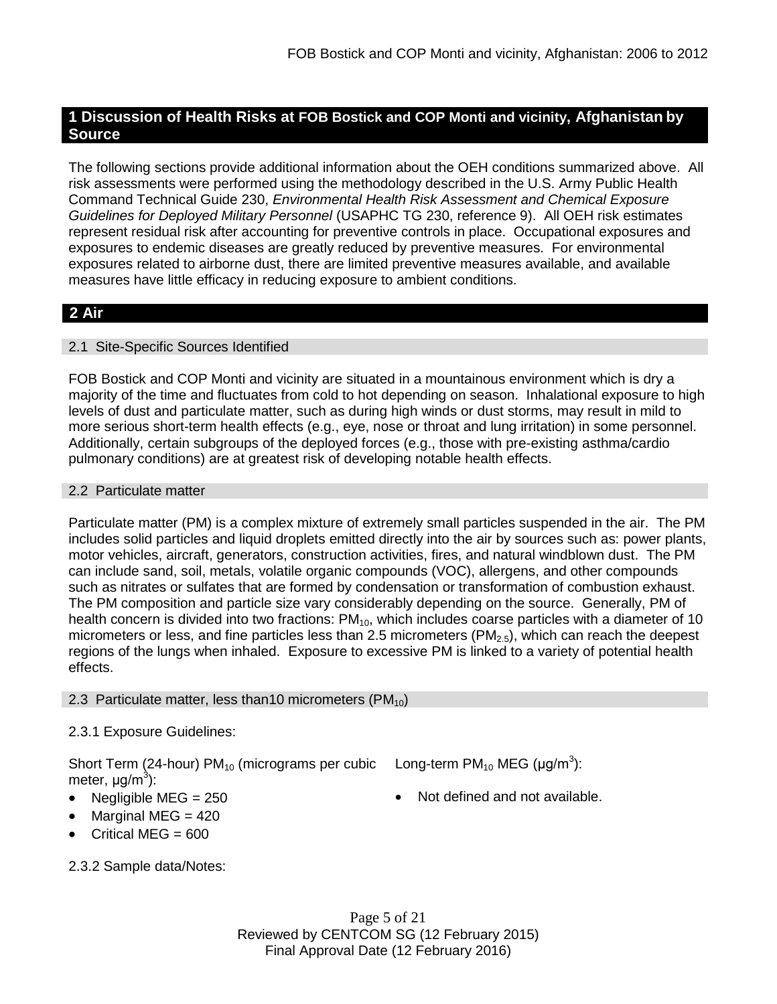# **1 Discussion of Health Risks at FOB Bostick and COP Monti and vicinity, Afghanistan by Source**

The following sections provide additional information about the OEH conditions summarized above. All risk assessments were performed using the methodology described in the U.S. Army Public Health Command Technical Guide 230, *Environmental Health Risk Assessment and Chemical Exposure Guidelines for Deployed Military Personnel* (USAPHC TG 230, reference 9). All OEH risk estimates represent residual risk after accounting for preventive controls in place. Occupational exposures and exposures to endemic diseases are greatly reduced by preventive measures. For environmental exposures related to airborne dust, there are limited preventive measures available, and available measures have little efficacy in reducing exposure to ambient conditions.

# **2 Air**

# 2.1 Site-Specific Sources Identified

FOB Bostick and COP Monti and vicinity are situated in a mountainous environment which is dry a majority of the time and fluctuates from cold to hot depending on season. Inhalational exposure to high levels of dust and particulate matter, such as during high winds or dust storms, may result in mild to more serious short-term health effects (e.g., eye, nose or throat and lung irritation) in some personnel. Additionally, certain subgroups of the deployed forces (e.g., those with pre-existing asthma/cardio pulmonary conditions) are at greatest risk of developing notable health effects.

# 2.2 Particulate matter

Particulate matter (PM) is a complex mixture of extremely small particles suspended in the air. The PM includes solid particles and liquid droplets emitted directly into the air by sources such as: power plants, motor vehicles, aircraft, generators, construction activities, fires, and natural windblown dust. The PM can include sand, soil, metals, volatile organic compounds (VOC), allergens, and other compounds such as nitrates or sulfates that are formed by condensation or transformation of combustion exhaust. The PM composition and particle size vary considerably depending on the source. Generally, PM of health concern is divided into two fractions: PM<sub>10</sub>, which includes coarse particles with a diameter of 10 micrometers or less, and fine particles less than 2.5 micrometers (PM<sub>2.5</sub>), which can reach the deepest regions of the lungs when inhaled. Exposure to excessive PM is linked to a variety of potential health effects.

# 2.3 Particulate matter, less than 10 micrometers ( $PM_{10}$ )

# 2.3.1 Exposure Guidelines:

Short Term (24-hour) PM<sub>10</sub> (micrograms per cubic Long-term PM<sub>10</sub> MEG (µg/m<sup>3</sup>): meter, μg/m<sup>3</sup>):

- Negligible MEG = 250 **•** Not defined and not available.
- Marginal MEG  $= 420$
- Critical MEG  $= 600$
- 2.3.2 Sample data/Notes: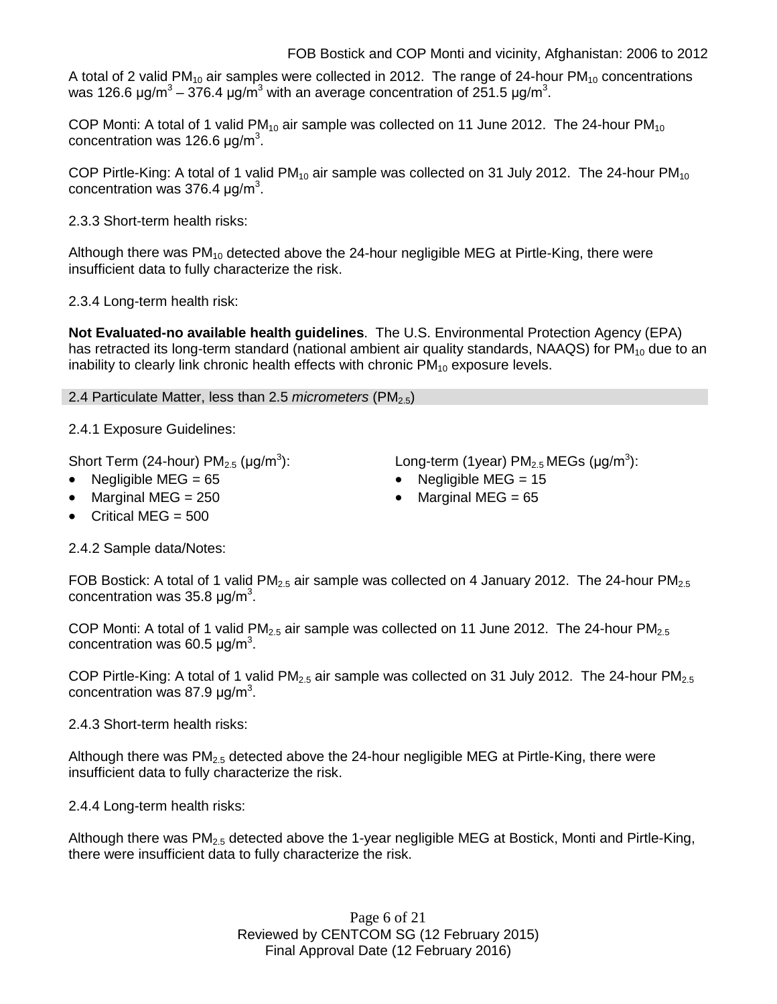A total of 2 valid PM<sub>10</sub> air samples were collected in 2012. The range of 24-hour PM<sub>10</sub> concentrations was 126.6 μg/m $^3$  – 376.4 μg/m $^3$  with an average concentration of 251.5 μg/m $^3$ .

COP Monti: A total of 1 valid  $PM_{10}$  air sample was collected on 11 June 2012. The 24-hour  $PM_{10}$ concentration was 126.6  $\mu$ g/m<sup>3</sup>.

COP Pirtle-King: A total of 1 valid PM<sub>10</sub> air sample was collected on 31 July 2012. The 24-hour PM<sub>10</sub> concentration was 376.4  $\mu$ g/m<sup>3</sup>.

2.3.3 Short-term health risks:

Although there was  $PM_{10}$  detected above the 24-hour negligible MEG at Pirtle-King, there were insufficient data to fully characterize the risk.

2.3.4 Long-term health risk:

**Not Evaluated-no available health guidelines**. The U.S. Environmental Protection Agency (EPA) has retracted its long-term standard (national ambient air quality standards, NAAQS) for  $PM_{10}$  due to an inability to clearly link chronic health effects with chronic  $PM_{10}$  exposure levels.

2.4 Particulate Matter, less than 2.5 *micrometers* (PM2.5)

2.4.1 Exposure Guidelines:

Short Term (24-hour)  $PM_{2.5}$  ( $\mu$ g/m<sup>3</sup>):

• Negligible MEG = 65 • Negligible MEG = 15

• Marginal MEG = 250 **• Marginal MEG = 65** 

• Critical MEG  $= 500$ 

):  $\qquad \qquad \textsf{Long-term (1year) PM}_{2.5} \, \textsf{MEGs (}\mu\textsf{g/m}^3\textsf{)}\textsf{:}$ 

- 
- 

2.4.2 Sample data/Notes:

FOB Bostick: A total of 1 valid PM<sub>2.5</sub> air sample was collected on 4 January 2012. The 24-hour PM<sub>2.5</sub> concentration was 35.8  $\mu$ g/m<sup>3</sup>.

COP Monti: A total of 1 valid PM<sub>2.5</sub> air sample was collected on 11 June 2012. The 24-hour PM<sub>2.5</sub> concentration was 60.5  $\mu$ g/m<sup>3</sup>.

COP Pirtle-King: A total of 1 valid  $PM<sub>2.5</sub>$  air sample was collected on 31 July 2012. The 24-hour  $PM<sub>2.5</sub>$ concentration was 87.9  $\mu$ g/m<sup>3</sup>.

2.4.3 Short-term health risks:

Although there was  $PM_{2.5}$  detected above the 24-hour negligible MEG at Pirtle-King, there were insufficient data to fully characterize the risk.

2.4.4 Long-term health risks:

Although there was PM<sub>2.5</sub> detected above the 1-year negligible MEG at Bostick, Monti and Pirtle-King, there were insufficient data to fully characterize the risk.

> Page 6 of 21 Reviewed by CENTCOM SG (12 February 2015) Final Approval Date (12 February 2016)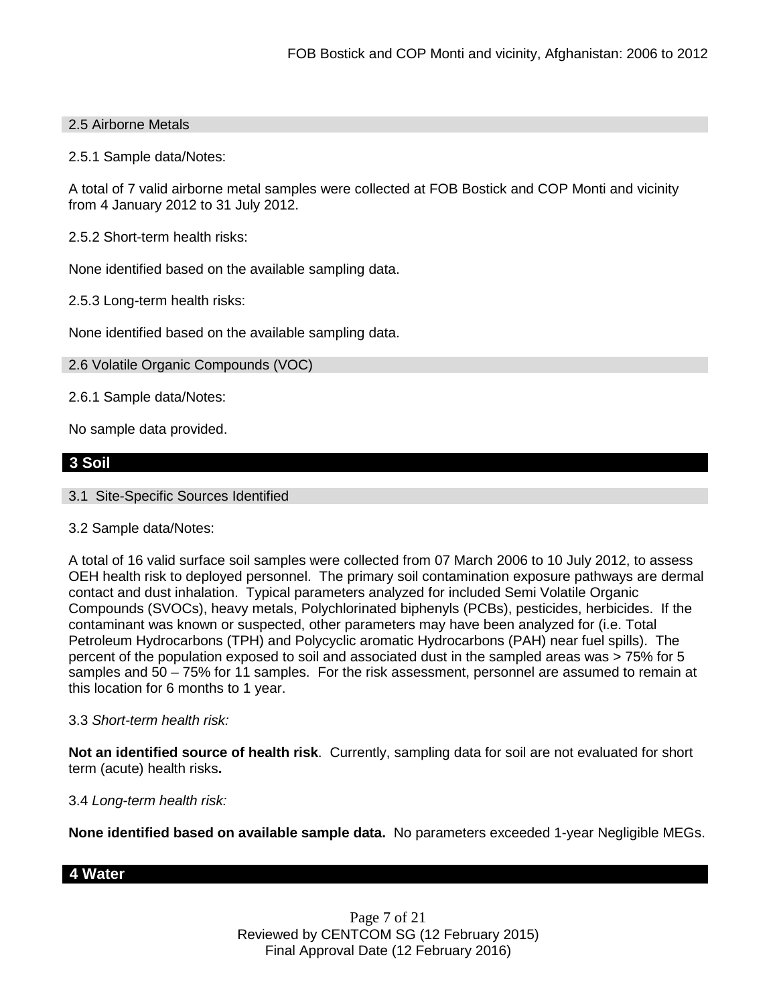# 2.5 Airborne Metals

2.5.1 Sample data/Notes:

A total of 7 valid airborne metal samples were collected at FOB Bostick and COP Monti and vicinity from 4 January 2012 to 31 July 2012.

2.5.2 Short-term health risks:

None identified based on the available sampling data.

2.5.3 Long-term health risks:

None identified based on the available sampling data.

2.6 Volatile Organic Compounds (VOC)

2.6.1 Sample data/Notes:

No sample data provided.

# **3 Soil**

3.1 Site-Specific Sources Identified

#### 3.2 Sample data/Notes:

A total of 16 valid surface soil samples were collected from 07 March 2006 to 10 July 2012, to assess OEH health risk to deployed personnel. The primary soil contamination exposure pathways are dermal contact and dust inhalation. Typical parameters analyzed for included Semi Volatile Organic Compounds (SVOCs), heavy metals, Polychlorinated biphenyls (PCBs), pesticides, herbicides. If the contaminant was known or suspected, other parameters may have been analyzed for (i.e. Total Petroleum Hydrocarbons (TPH) and Polycyclic aromatic Hydrocarbons (PAH) near fuel spills). The percent of the population exposed to soil and associated dust in the sampled areas was > 75% for 5 samples and 50 – 75% for 11 samples. For the risk assessment, personnel are assumed to remain at this location for 6 months to 1 year.

#### 3.3 *Short-term health risk:*

**Not an identified source of health risk**. Currently, sampling data for soil are not evaluated for short term (acute) health risks**.**

#### 3.4 *Long-term health risk:*

**None identified based on available sample data.** No parameters exceeded 1-year Negligible MEGs.

# **4 Water**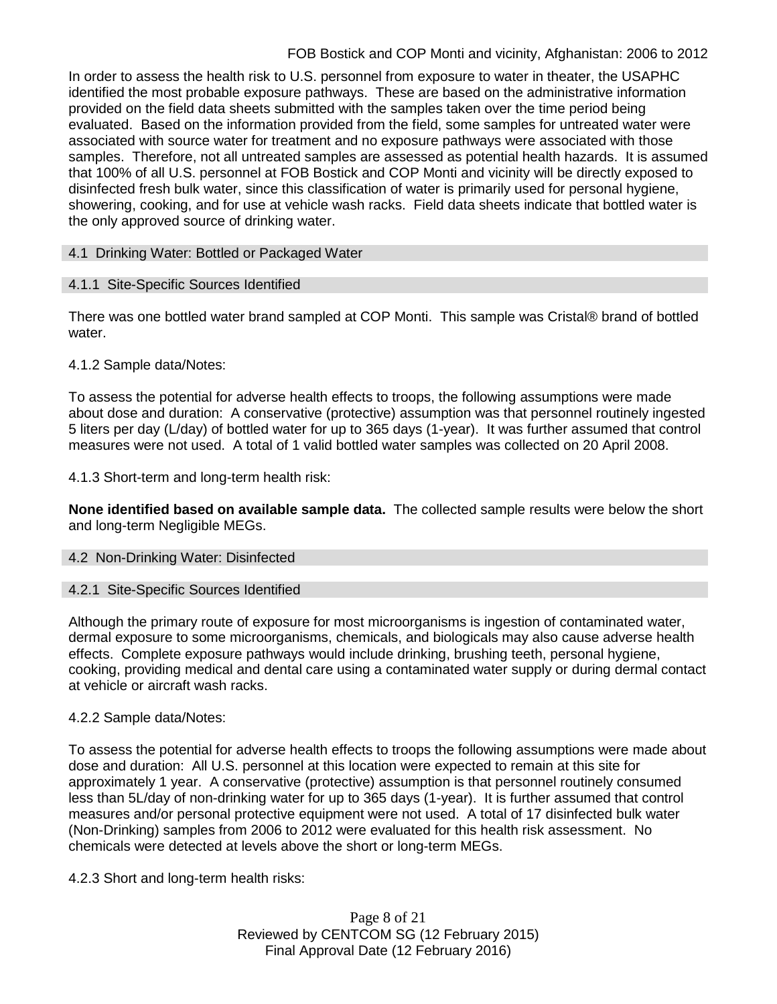# FOB Bostick and COP Monti and vicinity, Afghanistan: 2006 to 2012

In order to assess the health risk to U.S. personnel from exposure to water in theater, the USAPHC identified the most probable exposure pathways. These are based on the administrative information provided on the field data sheets submitted with the samples taken over the time period being evaluated. Based on the information provided from the field, some samples for untreated water were associated with source water for treatment and no exposure pathways were associated with those samples. Therefore, not all untreated samples are assessed as potential health hazards. It is assumed that 100% of all U.S. personnel at FOB Bostick and COP Monti and vicinity will be directly exposed to disinfected fresh bulk water, since this classification of water is primarily used for personal hygiene, showering, cooking, and for use at vehicle wash racks. Field data sheets indicate that bottled water is the only approved source of drinking water.

## 4.1 Drinking Water: Bottled or Packaged Water

# 4.1.1 Site-Specific Sources Identified

There was one bottled water brand sampled at COP Monti. This sample was Cristal® brand of bottled water.

# 4.1.2 Sample data/Notes:

To assess the potential for adverse health effects to troops, the following assumptions were made about dose and duration: A conservative (protective) assumption was that personnel routinely ingested 5 liters per day (L/day) of bottled water for up to 365 days (1-year). It was further assumed that control measures were not used. A total of 1 valid bottled water samples was collected on 20 April 2008.

# 4.1.3 Short-term and long-term health risk:

**None identified based on available sample data.** The collected sample results were below the short and long-term Negligible MEGs.

#### 4.2 Non-Drinking Water: Disinfected

#### 4.2.1 Site-Specific Sources Identified

Although the primary route of exposure for most microorganisms is ingestion of contaminated water, dermal exposure to some microorganisms, chemicals, and biologicals may also cause adverse health effects. Complete exposure pathways would include drinking, brushing teeth, personal hygiene, cooking, providing medical and dental care using a contaminated water supply or during dermal contact at vehicle or aircraft wash racks.

# 4.2.2 Sample data/Notes:

To assess the potential for adverse health effects to troops the following assumptions were made about dose and duration: All U.S. personnel at this location were expected to remain at this site for approximately 1 year. A conservative (protective) assumption is that personnel routinely consumed less than 5L/day of non-drinking water for up to 365 days (1-year). It is further assumed that control measures and/or personal protective equipment were not used. A total of 17 disinfected bulk water (Non-Drinking) samples from 2006 to 2012 were evaluated for this health risk assessment. No chemicals were detected at levels above the short or long-term MEGs.

4.2.3 Short and long-term health risks:

Page 8 of 21 Reviewed by CENTCOM SG (12 February 2015) Final Approval Date (12 February 2016)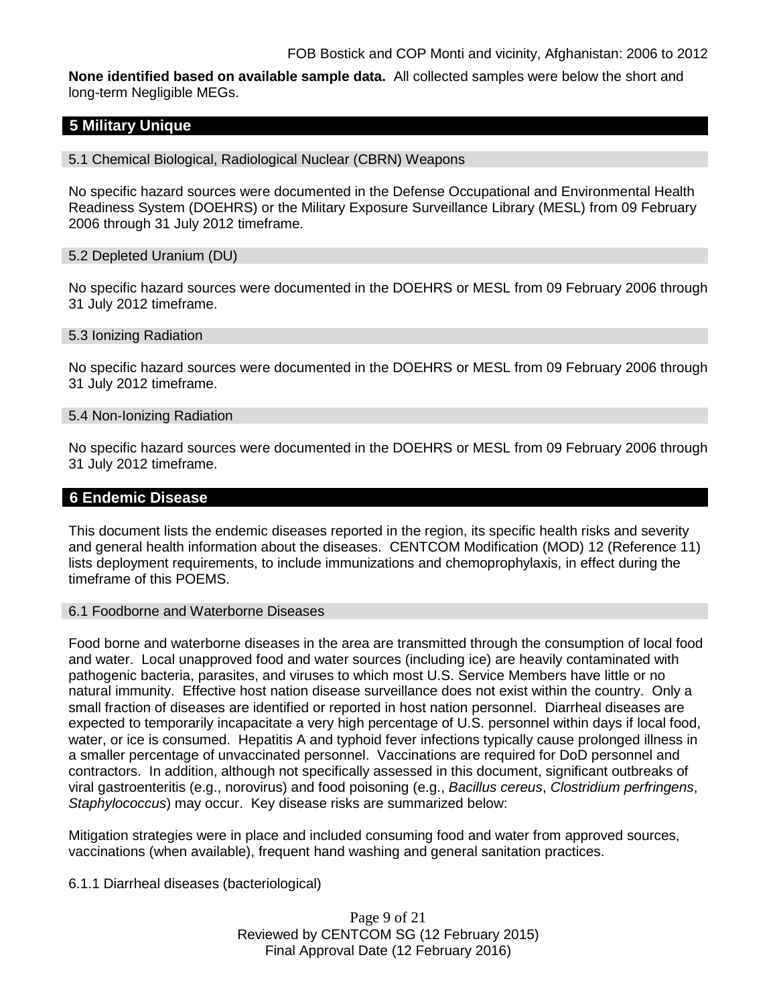**None identified based on available sample data.** All collected samples were below the short and long-term Negligible MEGs.

# **5 Military Unique**

5.1 Chemical Biological, Radiological Nuclear (CBRN) Weapons

No specific hazard sources were documented in the Defense Occupational and Environmental Health Readiness System (DOEHRS) or the Military Exposure Surveillance Library (MESL) from 09 February 2006 through 31 July 2012 timeframe.

#### 5.2 Depleted Uranium (DU)

No specific hazard sources were documented in the DOEHRS or MESL from 09 February 2006 through 31 July 2012 timeframe.

#### 5.3 Ionizing Radiation

No specific hazard sources were documented in the DOEHRS or MESL from 09 February 2006 through 31 July 2012 timeframe.

#### 5.4 Non-Ionizing Radiation

No specific hazard sources were documented in the DOEHRS or MESL from 09 February 2006 through 31 July 2012 timeframe.

# **6 Endemic Disease**

This document lists the endemic diseases reported in the region, its specific health risks and severity and general health information about the diseases. CENTCOM Modification (MOD) 12 (Reference 11) lists deployment requirements, to include immunizations and chemoprophylaxis, in effect during the timeframe of this POEMS.

#### 6.1 Foodborne and Waterborne Diseases

Food borne and waterborne diseases in the area are transmitted through the consumption of local food and water. Local unapproved food and water sources (including ice) are heavily contaminated with pathogenic bacteria, parasites, and viruses to which most U.S. Service Members have little or no natural immunity. Effective host nation disease surveillance does not exist within the country. Only a small fraction of diseases are identified or reported in host nation personnel. Diarrheal diseases are expected to temporarily incapacitate a very high percentage of U.S. personnel within days if local food, water, or ice is consumed. Hepatitis A and typhoid fever infections typically cause prolonged illness in a smaller percentage of unvaccinated personnel. Vaccinations are required for DoD personnel and contractors. In addition, although not specifically assessed in this document, significant outbreaks of viral gastroenteritis (e.g., norovirus) and food poisoning (e.g., *Bacillus cereus*, *Clostridium perfringens*, *Staphylococcus*) may occur. Key disease risks are summarized below:

Mitigation strategies were in place and included consuming food and water from approved sources, vaccinations (when available), frequent hand washing and general sanitation practices.

#### 6.1.1 Diarrheal diseases (bacteriological)

Page 9 of 21 Reviewed by CENTCOM SG (12 February 2015) Final Approval Date (12 February 2016)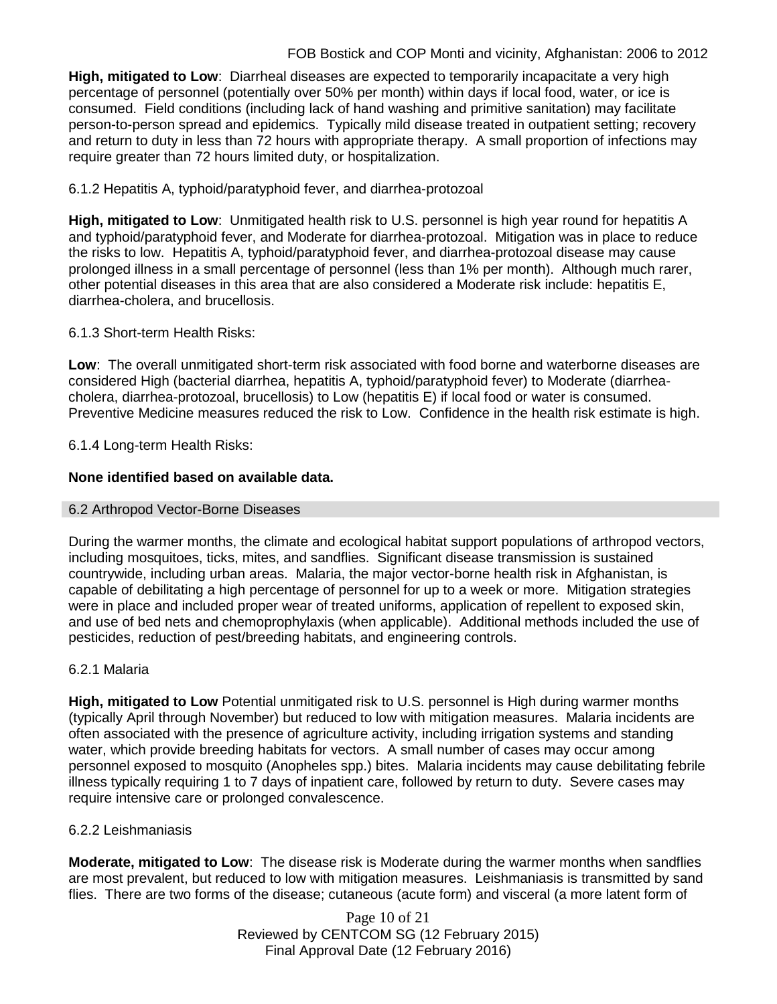**High, mitigated to Low**: Diarrheal diseases are expected to temporarily incapacitate a very high percentage of personnel (potentially over 50% per month) within days if local food, water, or ice is consumed. Field conditions (including lack of hand washing and primitive sanitation) may facilitate person-to-person spread and epidemics. Typically mild disease treated in outpatient setting; recovery and return to duty in less than 72 hours with appropriate therapy. A small proportion of infections may require greater than 72 hours limited duty, or hospitalization.

# 6.1.2 Hepatitis A, typhoid/paratyphoid fever, and diarrhea-protozoal

**High, mitigated to Low**: Unmitigated health risk to U.S. personnel is high year round for hepatitis A and typhoid/paratyphoid fever, and Moderate for diarrhea-protozoal. Mitigation was in place to reduce the risks to low. Hepatitis A, typhoid/paratyphoid fever, and diarrhea-protozoal disease may cause prolonged illness in a small percentage of personnel (less than 1% per month). Although much rarer, other potential diseases in this area that are also considered a Moderate risk include: hepatitis E, diarrhea-cholera, and brucellosis.

# 6.1.3 Short-term Health Risks:

**Low**: The overall unmitigated short-term risk associated with food borne and waterborne diseases are considered High (bacterial diarrhea, hepatitis A, typhoid/paratyphoid fever) to Moderate (diarrheacholera, diarrhea-protozoal, brucellosis) to Low (hepatitis E) if local food or water is consumed. Preventive Medicine measures reduced the risk to Low. Confidence in the health risk estimate is high.

# 6.1.4 Long-term Health Risks:

# **None identified based on available data.**

# 6.2 Arthropod Vector-Borne Diseases

During the warmer months, the climate and ecological habitat support populations of arthropod vectors, including mosquitoes, ticks, mites, and sandflies. Significant disease transmission is sustained countrywide, including urban areas. Malaria, the major vector-borne health risk in Afghanistan, is capable of debilitating a high percentage of personnel for up to a week or more. Mitigation strategies were in place and included proper wear of treated uniforms, application of repellent to exposed skin, and use of bed nets and chemoprophylaxis (when applicable). Additional methods included the use of pesticides, reduction of pest/breeding habitats, and engineering controls.

# 6.2.1 Malaria

**High, mitigated to Low** Potential unmitigated risk to U.S. personnel is High during warmer months (typically April through November) but reduced to low with mitigation measures. Malaria incidents are often associated with the presence of agriculture activity, including irrigation systems and standing water, which provide breeding habitats for vectors. A small number of cases may occur among personnel exposed to mosquito (Anopheles spp.) bites. Malaria incidents may cause debilitating febrile illness typically requiring 1 to 7 days of inpatient care, followed by return to duty. Severe cases may require intensive care or prolonged convalescence.

# 6.2.2 Leishmaniasis

**Moderate, mitigated to Low**: The disease risk is Moderate during the warmer months when sandflies are most prevalent, but reduced to low with mitigation measures. Leishmaniasis is transmitted by sand flies. There are two forms of the disease; cutaneous (acute form) and visceral (a more latent form of

> Page 10 of 21 Reviewed by CENTCOM SG (12 February 2015) Final Approval Date (12 February 2016)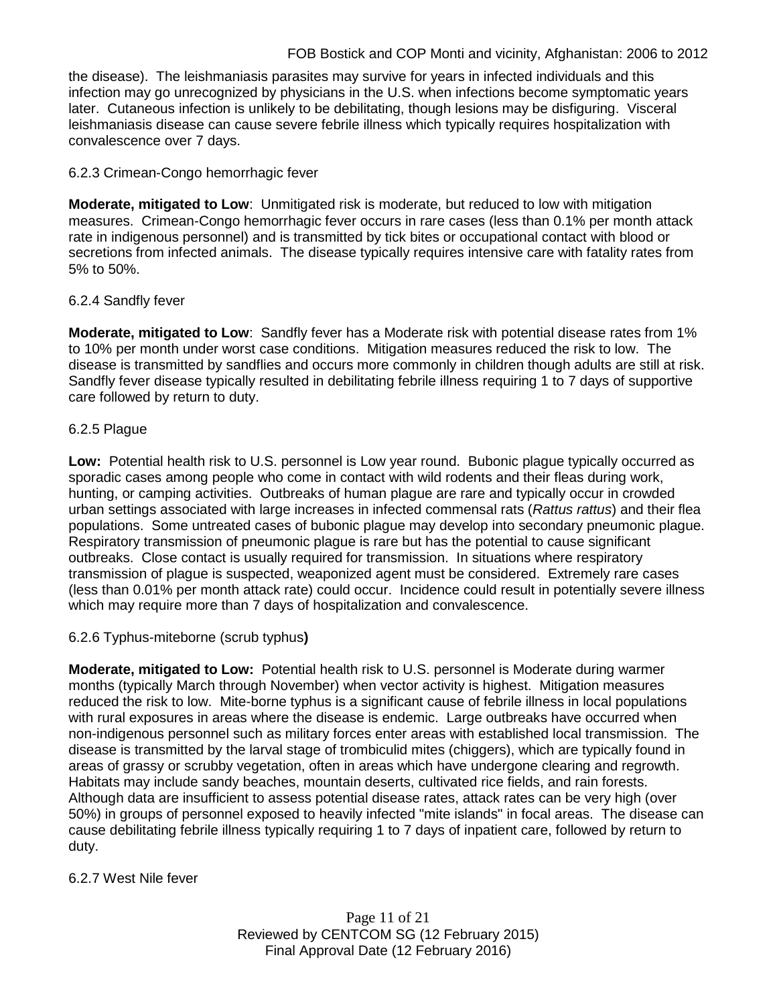the disease). The leishmaniasis parasites may survive for years in infected individuals and this infection may go unrecognized by physicians in the U.S. when infections become symptomatic years later. Cutaneous infection is unlikely to be debilitating, though lesions may be disfiguring. Visceral leishmaniasis disease can cause severe febrile illness which typically requires hospitalization with convalescence over 7 days.

# 6.2.3 Crimean-Congo hemorrhagic fever

**Moderate, mitigated to Low**: Unmitigated risk is moderate, but reduced to low with mitigation measures. Crimean-Congo hemorrhagic fever occurs in rare cases (less than 0.1% per month attack rate in indigenous personnel) and is transmitted by tick bites or occupational contact with blood or secretions from infected animals. The disease typically requires intensive care with fatality rates from 5% to 50%.

# 6.2.4 Sandfly fever

**Moderate, mitigated to Low**: Sandfly fever has a Moderate risk with potential disease rates from 1% to 10% per month under worst case conditions. Mitigation measures reduced the risk to low. The disease is transmitted by sandflies and occurs more commonly in children though adults are still at risk. Sandfly fever disease typically resulted in debilitating febrile illness requiring 1 to 7 days of supportive care followed by return to duty.

# 6.2.5 Plague

**Low:** Potential health risk to U.S. personnel is Low year round. Bubonic plague typically occurred as sporadic cases among people who come in contact with wild rodents and their fleas during work, hunting, or camping activities. Outbreaks of human plague are rare and typically occur in crowded urban settings associated with large increases in infected commensal rats (*Rattus rattus*) and their flea populations. Some untreated cases of bubonic plague may develop into secondary pneumonic plague. Respiratory transmission of pneumonic plague is rare but has the potential to cause significant outbreaks. Close contact is usually required for transmission. In situations where respiratory transmission of plague is suspected, weaponized agent must be considered. Extremely rare cases (less than 0.01% per month attack rate) could occur. Incidence could result in potentially severe illness which may require more than 7 days of hospitalization and convalescence.

# 6.2.6 Typhus-miteborne (scrub typhus**)**

**Moderate, mitigated to Low:** Potential health risk to U.S. personnel is Moderate during warmer months (typically March through November) when vector activity is highest. Mitigation measures reduced the risk to low. Mite-borne typhus is a significant cause of febrile illness in local populations with rural exposures in areas where the disease is endemic. Large outbreaks have occurred when non-indigenous personnel such as military forces enter areas with established local transmission. The disease is transmitted by the larval stage of trombiculid mites (chiggers), which are typically found in areas of grassy or scrubby vegetation, often in areas which have undergone clearing and regrowth. Habitats may include sandy beaches, mountain deserts, cultivated rice fields, and rain forests. Although data are insufficient to assess potential disease rates, attack rates can be very high (over 50%) in groups of personnel exposed to heavily infected "mite islands" in focal areas. The disease can cause debilitating febrile illness typically requiring 1 to 7 days of inpatient care, followed by return to duty.

# 6.2.7 West Nile fever

Page 11 of 21 Reviewed by CENTCOM SG (12 February 2015) Final Approval Date (12 February 2016)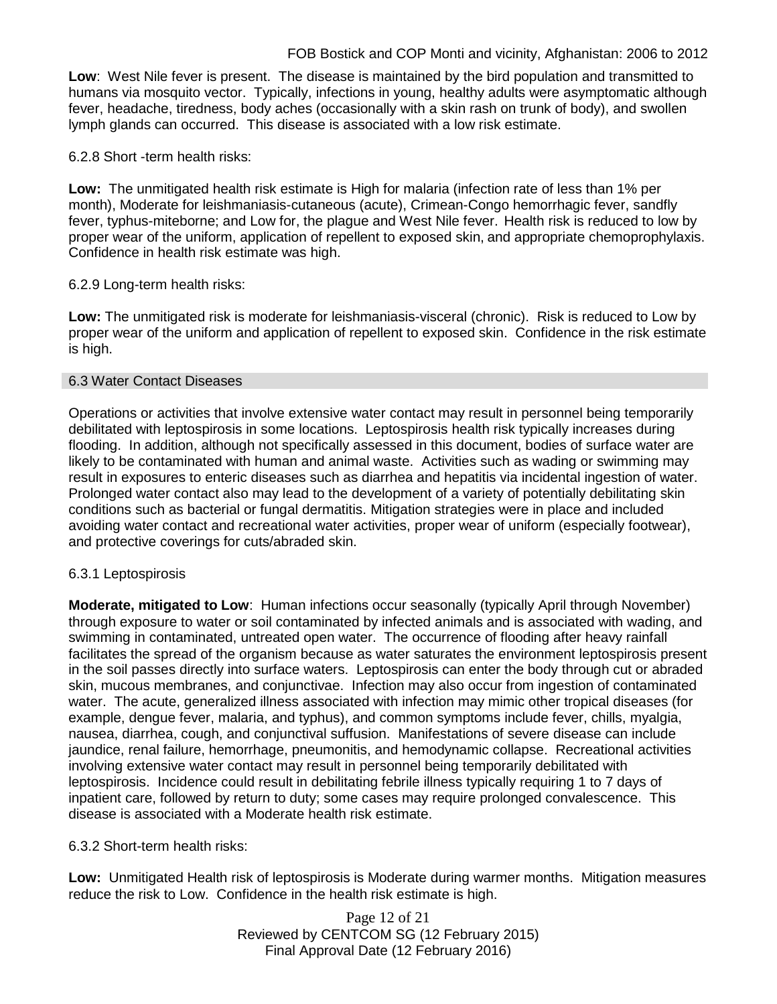# FOB Bostick and COP Monti and vicinity, Afghanistan: 2006 to 2012

**Low**: West Nile fever is present. The disease is maintained by the bird population and transmitted to humans via mosquito vector. Typically, infections in young, healthy adults were asymptomatic although fever, headache, tiredness, body aches (occasionally with a skin rash on trunk of body), and swollen lymph glands can occurred. This disease is associated with a low risk estimate.

#### 6.2.8 Short -term health risks:

**Low:** The unmitigated health risk estimate is High for malaria (infection rate of less than 1% per month), Moderate for leishmaniasis-cutaneous (acute), Crimean-Congo hemorrhagic fever, sandfly fever, typhus-miteborne; and Low for, the plague and West Nile fever. Health risk is reduced to low by proper wear of the uniform, application of repellent to exposed skin, and appropriate chemoprophylaxis. Confidence in health risk estimate was high.

# 6.2.9 Long-term health risks:

**Low:** The unmitigated risk is moderate for leishmaniasis-visceral (chronic). Risk is reduced to Low by proper wear of the uniform and application of repellent to exposed skin. Confidence in the risk estimate is high.

#### 6.3 Water Contact Diseases

Operations or activities that involve extensive water contact may result in personnel being temporarily debilitated with leptospirosis in some locations. Leptospirosis health risk typically increases during flooding. In addition, although not specifically assessed in this document, bodies of surface water are likely to be contaminated with human and animal waste. Activities such as wading or swimming may result in exposures to enteric diseases such as diarrhea and hepatitis via incidental ingestion of water. Prolonged water contact also may lead to the development of a variety of potentially debilitating skin conditions such as bacterial or fungal dermatitis. Mitigation strategies were in place and included avoiding water contact and recreational water activities, proper wear of uniform (especially footwear), and protective coverings for cuts/abraded skin.

# 6.3.1 Leptospirosis

**Moderate, mitigated to Low**: Human infections occur seasonally (typically April through November) through exposure to water or soil contaminated by infected animals and is associated with wading, and swimming in contaminated, untreated open water. The occurrence of flooding after heavy rainfall facilitates the spread of the organism because as water saturates the environment leptospirosis present in the soil passes directly into surface waters. Leptospirosis can enter the body through cut or abraded skin, mucous membranes, and conjunctivae. Infection may also occur from ingestion of contaminated water. The acute, generalized illness associated with infection may mimic other tropical diseases (for example, dengue fever, malaria, and typhus), and common symptoms include fever, chills, myalgia, nausea, diarrhea, cough, and conjunctival suffusion. Manifestations of severe disease can include jaundice, renal failure, hemorrhage, pneumonitis, and hemodynamic collapse. Recreational activities involving extensive water contact may result in personnel being temporarily debilitated with leptospirosis. Incidence could result in debilitating febrile illness typically requiring 1 to 7 days of inpatient care, followed by return to duty; some cases may require prolonged convalescence. This disease is associated with a Moderate health risk estimate.

#### 6.3.2 Short-term health risks:

**Low:** Unmitigated Health risk of leptospirosis is Moderate during warmer months. Mitigation measures reduce the risk to Low. Confidence in the health risk estimate is high.

> Page 12 of 21 Reviewed by CENTCOM SG (12 February 2015) Final Approval Date (12 February 2016)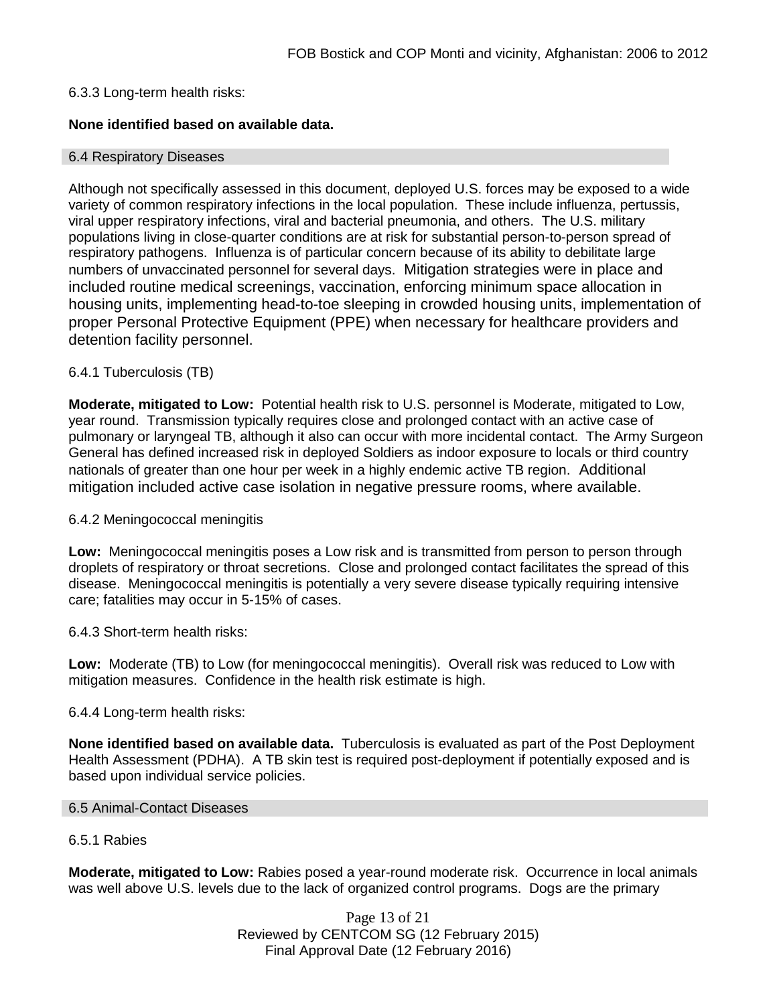# 6.3.3 Long-term health risks:

# **None identified based on available data.**

#### 6.4 Respiratory Diseases

Although not specifically assessed in this document, deployed U.S. forces may be exposed to a wide variety of common respiratory infections in the local population. These include influenza, pertussis, viral upper respiratory infections, viral and bacterial pneumonia, and others. The U.S. military populations living in close-quarter conditions are at risk for substantial person-to-person spread of respiratory pathogens. Influenza is of particular concern because of its ability to debilitate large numbers of unvaccinated personnel for several days. Mitigation strategies were in place and included routine medical screenings, vaccination, enforcing minimum space allocation in housing units, implementing head-to-toe sleeping in crowded housing units, implementation of proper Personal Protective Equipment (PPE) when necessary for healthcare providers and detention facility personnel.

# 6.4.1 Tuberculosis (TB)

**Moderate, mitigated to Low:** Potential health risk to U.S. personnel is Moderate, mitigated to Low, year round. Transmission typically requires close and prolonged contact with an active case of pulmonary or laryngeal TB, although it also can occur with more incidental contact. The Army Surgeon General has defined increased risk in deployed Soldiers as indoor exposure to locals or third country nationals of greater than one hour per week in a highly endemic active TB region. Additional mitigation included active case isolation in negative pressure rooms, where available.

#### 6.4.2 Meningococcal meningitis

**Low:** Meningococcal meningitis poses a Low risk and is transmitted from person to person through droplets of respiratory or throat secretions. Close and prolonged contact facilitates the spread of this disease. Meningococcal meningitis is potentially a very severe disease typically requiring intensive care; fatalities may occur in 5-15% of cases.

#### 6.4.3 Short-term health risks:

**Low:** Moderate (TB) to Low (for meningococcal meningitis). Overall risk was reduced to Low with mitigation measures. Confidence in the health risk estimate is high.

#### 6.4.4 Long-term health risks:

**None identified based on available data.** Tuberculosis is evaluated as part of the Post Deployment Health Assessment (PDHA). A TB skin test is required post-deployment if potentially exposed and is based upon individual service policies.

#### 6.5 Animal-Contact Diseases

#### 6.5.1 Rabies

**Moderate, mitigated to Low:** Rabies posed a year-round moderate risk. Occurrence in local animals was well above U.S. levels due to the lack of organized control programs. Dogs are the primary

> Page 13 of 21 Reviewed by CENTCOM SG (12 February 2015) Final Approval Date (12 February 2016)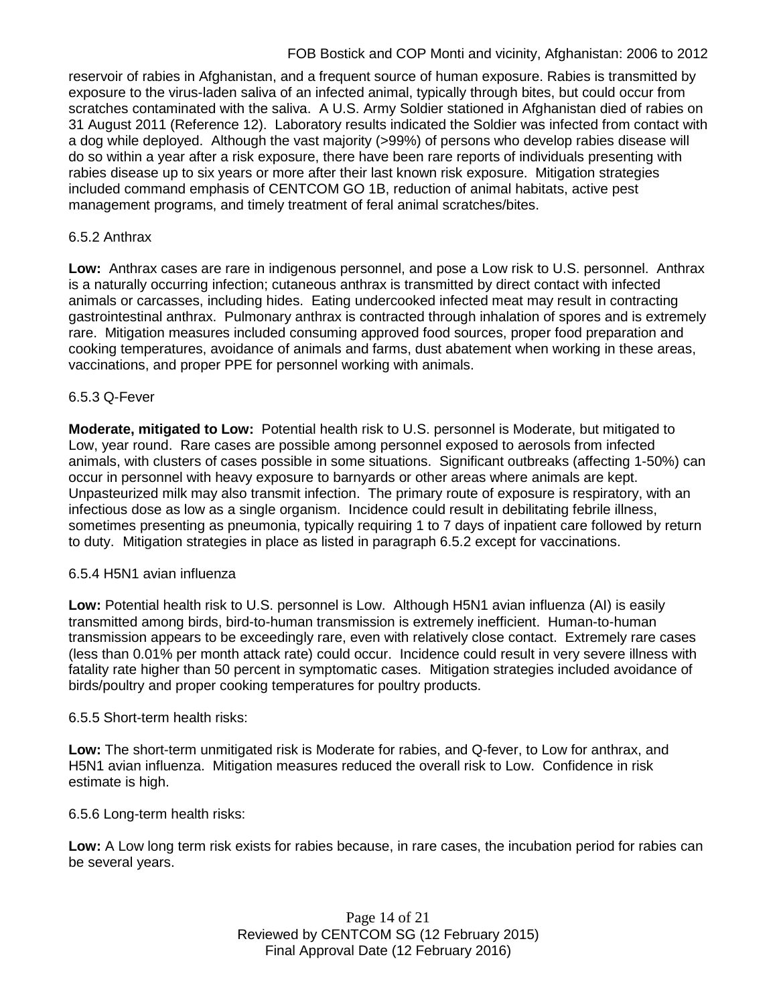# FOB Bostick and COP Monti and vicinity, Afghanistan: 2006 to 2012

reservoir of rabies in Afghanistan, and a frequent source of human exposure. Rabies is transmitted by exposure to the virus-laden saliva of an infected animal, typically through bites, but could occur from scratches contaminated with the saliva. A U.S. Army Soldier stationed in Afghanistan died of rabies on 31 August 2011 (Reference 12). Laboratory results indicated the Soldier was infected from contact with a dog while deployed. Although the vast majority (>99%) of persons who develop rabies disease will do so within a year after a risk exposure, there have been rare reports of individuals presenting with rabies disease up to six years or more after their last known risk exposure. Mitigation strategies included command emphasis of CENTCOM GO 1B, reduction of animal habitats, active pest management programs, and timely treatment of feral animal scratches/bites.

# 6.5.2 Anthrax

**Low:** Anthrax cases are rare in indigenous personnel, and pose a Low risk to U.S. personnel. Anthrax is a naturally occurring infection; cutaneous anthrax is transmitted by direct contact with infected animals or carcasses, including hides. Eating undercooked infected meat may result in contracting gastrointestinal anthrax. Pulmonary anthrax is contracted through inhalation of spores and is extremely rare. Mitigation measures included consuming approved food sources, proper food preparation and cooking temperatures, avoidance of animals and farms, dust abatement when working in these areas, vaccinations, and proper PPE for personnel working with animals.

# 6.5.3 Q-Fever

**Moderate, mitigated to Low:** Potential health risk to U.S. personnel is Moderate, but mitigated to Low, year round. Rare cases are possible among personnel exposed to aerosols from infected animals, with clusters of cases possible in some situations. Significant outbreaks (affecting 1-50%) can occur in personnel with heavy exposure to barnyards or other areas where animals are kept. Unpasteurized milk may also transmit infection. The primary route of exposure is respiratory, with an infectious dose as low as a single organism. Incidence could result in debilitating febrile illness, sometimes presenting as pneumonia, typically requiring 1 to 7 days of inpatient care followed by return to duty. Mitigation strategies in place as listed in paragraph 6.5.2 except for vaccinations.

#### 6.5.4 H5N1 avian influenza

**Low:** Potential health risk to U.S. personnel is Low. Although H5N1 avian influenza (AI) is easily transmitted among birds, bird-to-human transmission is extremely inefficient. Human-to-human transmission appears to be exceedingly rare, even with relatively close contact. Extremely rare cases (less than 0.01% per month attack rate) could occur. Incidence could result in very severe illness with fatality rate higher than 50 percent in symptomatic cases. Mitigation strategies included avoidance of birds/poultry and proper cooking temperatures for poultry products.

#### 6.5.5 Short-term health risks:

**Low:** The short-term unmitigated risk is Moderate for rabies, and Q-fever, to Low for anthrax, and H5N1 avian influenza. Mitigation measures reduced the overall risk to Low.Confidence in risk estimate is high.

6.5.6 Long-term health risks:

**Low:** A Low long term risk exists for rabies because, in rare cases, the incubation period for rabies can be several years.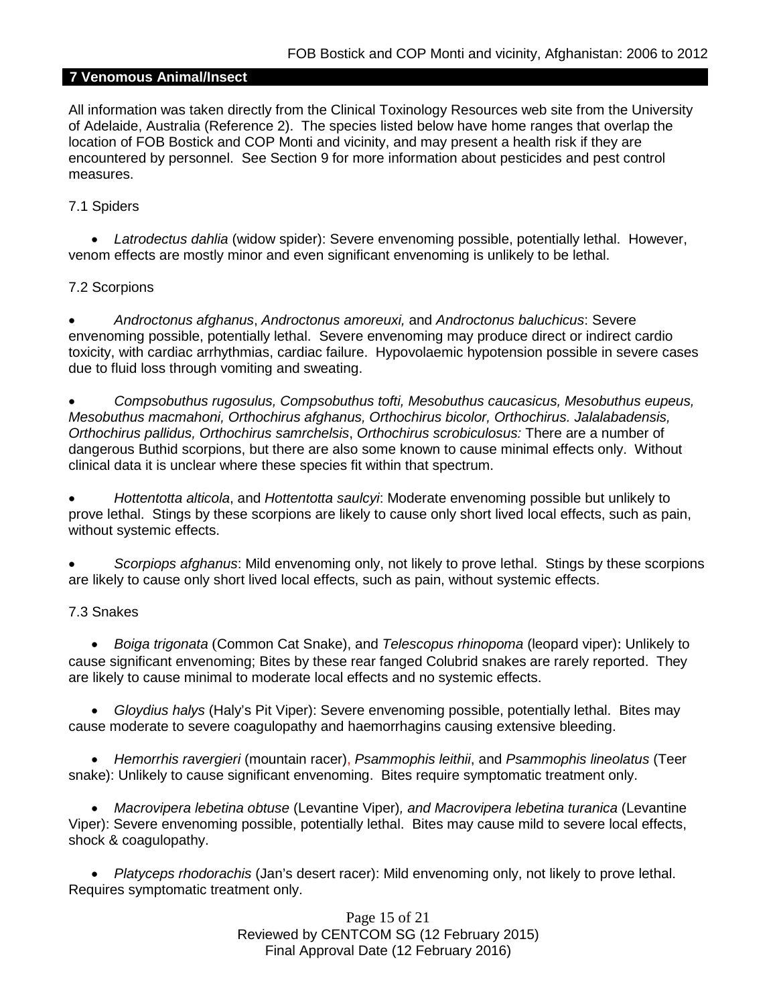# **7 Venomous Animal/Insect**

All information was taken directly from the Clinical Toxinology Resources web site from the University of Adelaide, Australia (Reference 2). The species listed below have home ranges that overlap the location of FOB Bostick and COP Monti and vicinity, and may present a health risk if they are encountered by personnel. See Section 9 for more information about pesticides and pest control measures.

#### 7.1 Spiders

• *Latrodectus dahlia* (widow spider): Severe envenoming possible, potentially lethal. However, venom effects are mostly minor and even significant envenoming is unlikely to be lethal.

# 7.2 Scorpions

• *Androctonus afghanus*, *Androctonus amoreuxi,* and *Androctonus baluchicus*: Severe envenoming possible, potentially lethal. Severe envenoming may produce direct or indirect cardio toxicity, with cardiac arrhythmias, cardiac failure. Hypovolaemic hypotension possible in severe cases due to fluid loss through vomiting and sweating.

• *Compsobuthus rugosulus, Compsobuthus tofti, Mesobuthus caucasicus, Mesobuthus eupeus, Mesobuthus macmahoni, Orthochirus afghanus, Orthochirus bicolor, Orthochirus. Jalalabadensis, Orthochirus pallidus, Orthochirus samrchelsis*, *Orthochirus scrobiculosus:* There are a number of dangerous Buthid scorpions, but there are also some known to cause minimal effects only. Without clinical data it is unclear where these species fit within that spectrum.

• *Hottentotta alticola*, and *Hottentotta saulcyi*: Moderate envenoming possible but unlikely to prove lethal. Stings by these scorpions are likely to cause only short lived local effects, such as pain, without systemic effects.

• *Scorpiops afghanus*: Mild envenoming only, not likely to prove lethal. Stings by these scorpions are likely to cause only short lived local effects, such as pain, without systemic effects.

# 7.3 Snakes

• *[Boiga](http://www.toxinology.com/fusebox.cfm?fuseaction=main.snakes.display&id=SN0722) [trigonata](http://www.toxinology.com/fusebox.cfm?fuseaction=main.snakes.display&id=SN0722)* (Common Cat Snake), and *Telescopus rhinopoma* (leopard viper): Unlikely to cause significant envenoming; Bites by these rear fanged Colubrid snakes are rarely reported. They are likely to cause minimal to moderate local effects and no systemic effects.

• *Gloydius halys* (Haly's Pit Viper): Severe envenoming possible, potentially lethal. Bites may cause moderate to severe coagulopathy and haemorrhagins causing extensive bleeding.

• *Hemorrhis ravergieri* (mountain racer), *Psammophis leithii*, and *Psammophis lineolatus* (Teer snake): Unlikely to cause significant envenoming. Bites require symptomatic treatment only.

• *Macrovipera lebetina obtuse* (Levantine Viper)*, and Macrovipera lebetina turanica* (Levantine Viper): Severe envenoming possible, potentially lethal. Bites may cause mild to severe local effects, shock & coagulopathy.

• *Platyceps rhodorachis* (Jan's desert racer): Mild envenoming only, not likely to prove lethal. Requires symptomatic treatment only.

> Page 15 of 21 Reviewed by CENTCOM SG (12 February 2015) Final Approval Date (12 February 2016)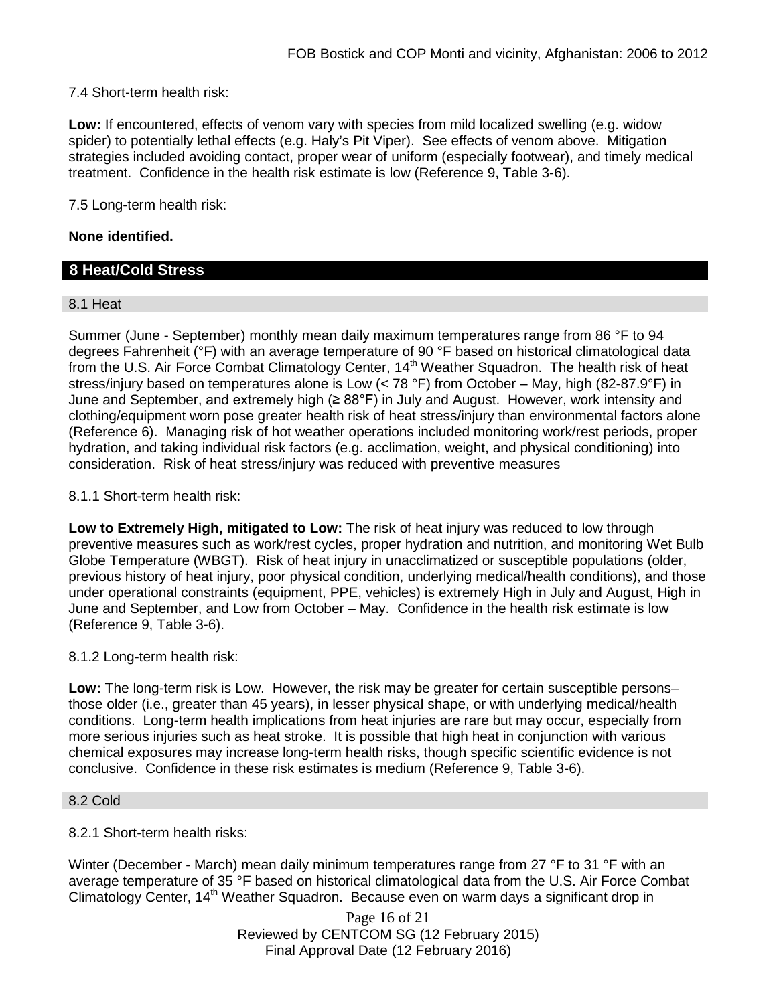7.4 Short-term health risk:

**Low:** If encountered, effects of venom vary with species from mild localized swelling (e.g. widow spider) to potentially lethal effects (e.g. Haly's Pit Viper). See effects of venom above. Mitigation strategies included avoiding contact, proper wear of uniform (especially footwear), and timely medical treatment. Confidence in the health risk estimate is low (Reference 9, Table 3-6).

7.5 Long-term health risk:

#### **None identified.**

# **8 Heat/Cold Stress**

#### 8.1 Heat

Summer (June - September) monthly mean daily maximum temperatures range from 86 °F to 94 degrees Fahrenheit (°F) with an average temperature of 90 °F based on historical climatological data from the U.S. Air Force Combat Climatology Center, 14<sup>th</sup> Weather Squadron. The health risk of heat stress/injury based on temperatures alone is Low (< 78 °F) from October – May, high (82-87.9°F) in June and September, and extremely high (≥ 88°F) in July and August. However, work intensity and clothing/equipment worn pose greater health risk of heat stress/injury than environmental factors alone (Reference 6). Managing risk of hot weather operations included monitoring work/rest periods, proper hydration, and taking individual risk factors (e.g. acclimation, weight, and physical conditioning) into consideration. Risk of heat stress/injury was reduced with preventive measures

#### 8.1.1 Short-term health risk:

**Low to Extremely High, mitigated to Low:** The risk of heat injury was reduced to low through preventive measures such as work/rest cycles, proper hydration and nutrition, and monitoring Wet Bulb Globe Temperature (WBGT). Risk of heat injury in unacclimatized or susceptible populations (older, previous history of heat injury, poor physical condition, underlying medical/health conditions), and those under operational constraints (equipment, PPE, vehicles) is extremely High in July and August, High in June and September, and Low from October – May. Confidence in the health risk estimate is low (Reference 9, Table 3-6).

#### 8.1.2 Long-term health risk:

**Low:** The long-term risk is Low. However, the risk may be greater for certain susceptible persons– those older (i.e., greater than 45 years), in lesser physical shape, or with underlying medical/health conditions. Long-term health implications from heat injuries are rare but may occur, especially from more serious injuries such as heat stroke. It is possible that high heat in conjunction with various chemical exposures may increase long-term health risks, though specific scientific evidence is not conclusive. Confidence in these risk estimates is medium (Reference 9, Table 3-6).

#### 8.2 Cold

8.2.1 Short-term health risks:

Winter (December - March) mean daily minimum temperatures range from 27 °F to 31 °F with an average temperature of 35 °F based on historical climatological data from the U.S. Air Force Combat Climatology Center, 14<sup>th</sup> Weather Squadron. Because even on warm days a significant drop in

> Page 16 of 21 Reviewed by CENTCOM SG (12 February 2015) Final Approval Date (12 February 2016)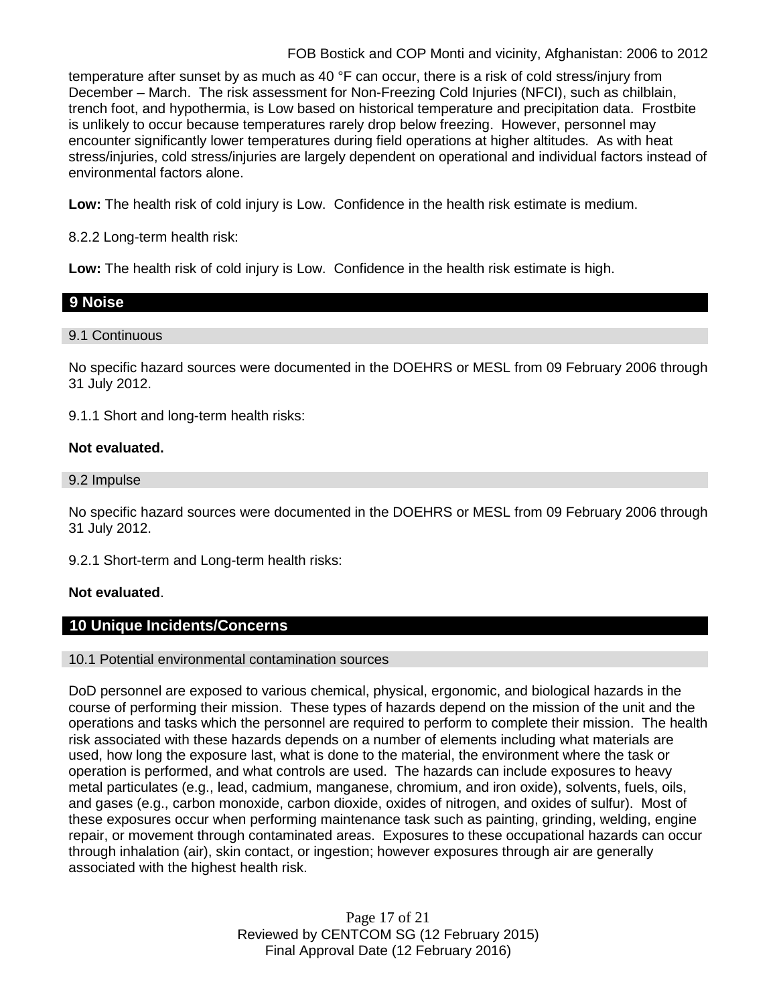# FOB Bostick and COP Monti and vicinity, Afghanistan: 2006 to 2012

temperature after sunset by as much as 40 °F can occur, there is a risk of cold stress/injury from December – March. The risk assessment for Non-Freezing Cold Injuries (NFCI), such as chilblain, trench foot, and hypothermia, is Low based on historical temperature and precipitation data. Frostbite is unlikely to occur because temperatures rarely drop below freezing. However, personnel may encounter significantly lower temperatures during field operations at higher altitudes. As with heat stress/injuries, cold stress/injuries are largely dependent on operational and individual factors instead of environmental factors alone.

**Low:** The health risk of cold injury is Low. Confidence in the health risk estimate is medium.

8.2.2 Long-term health risk:

**Low:** The health risk of cold injury is Low. Confidence in the health risk estimate is high.

# **9 Noise**

# 9.1 Continuous

No specific hazard sources were documented in the DOEHRS or MESL from 09 February 2006 through 31 July 2012.

9.1.1 Short and long-term health risks:

# **Not evaluated.**

9.2 Impulse

No specific hazard sources were documented in the DOEHRS or MESL from 09 February 2006 through 31 July 2012.

9.2.1 Short-term and Long-term health risks:

# **Not evaluated**.

# **10 Unique Incidents/Concerns**

#### 10.1 Potential environmental contamination sources

DoD personnel are exposed to various chemical, physical, ergonomic, and biological hazards in the course of performing their mission. These types of hazards depend on the mission of the unit and the operations and tasks which the personnel are required to perform to complete their mission. The health risk associated with these hazards depends on a number of elements including what materials are used, how long the exposure last, what is done to the material, the environment where the task or operation is performed, and what controls are used. The hazards can include exposures to heavy metal particulates (e.g., lead, cadmium, manganese, chromium, and iron oxide), solvents, fuels, oils, and gases (e.g., carbon monoxide, carbon dioxide, oxides of nitrogen, and oxides of sulfur). Most of these exposures occur when performing maintenance task such as painting, grinding, welding, engine repair, or movement through contaminated areas. Exposures to these occupational hazards can occur through inhalation (air), skin contact, or ingestion; however exposures through air are generally associated with the highest health risk.

> Page 17 of 21 Reviewed by CENTCOM SG (12 February 2015) Final Approval Date (12 February 2016)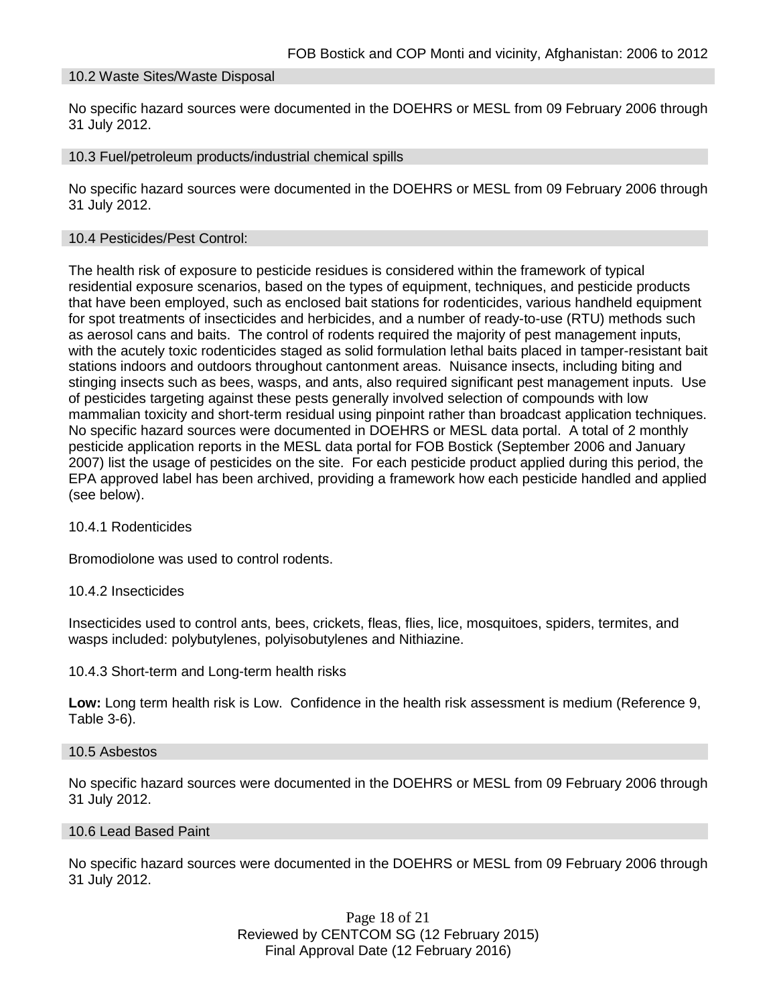#### 10.2 Waste Sites/Waste Disposal

No specific hazard sources were documented in the DOEHRS or MESL from 09 February 2006 through 31 July 2012.

#### 10.3 Fuel/petroleum products/industrial chemical spills

No specific hazard sources were documented in the DOEHRS or MESL from 09 February 2006 through 31 July 2012.

#### 10.4 Pesticides/Pest Control:

The health risk of exposure to pesticide residues is considered within the framework of typical residential exposure scenarios, based on the types of equipment, techniques, and pesticide products that have been employed, such as enclosed bait stations for rodenticides, various handheld equipment for spot treatments of insecticides and herbicides, and a number of ready-to-use (RTU) methods such as aerosol cans and baits. The control of rodents required the majority of pest management inputs, with the acutely toxic rodenticides staged as solid formulation lethal baits placed in tamper-resistant bait stations indoors and outdoors throughout cantonment areas. Nuisance insects, including biting and stinging insects such as bees, wasps, and ants, also required significant pest management inputs. Use of pesticides targeting against these pests generally involved selection of compounds with low mammalian toxicity and short-term residual using pinpoint rather than broadcast application techniques. No specific hazard sources were documented in DOEHRS or MESL data portal. A total of 2 monthly pesticide application reports in the MESL data portal for FOB Bostick (September 2006 and January 2007) list the usage of pesticides on the site. For each pesticide product applied during this period, the EPA approved label has been archived, providing a framework how each pesticide handled and applied (see below).

#### 10.4.1 Rodenticides

Bromodiolone was used to control rodents.

#### 10.4.2 Insecticides

Insecticides used to control ants, bees, crickets, fleas, flies, lice, mosquitoes, spiders, termites, and wasps included: polybutylenes, polyisobutylenes and Nithiazine.

#### 10.4.3 Short-term and Long-term health risks

**Low:** Long term health risk is Low. Confidence in the health risk assessment is medium (Reference 9, Table 3-6).

#### 10.5 Asbestos

No specific hazard sources were documented in the DOEHRS or MESL from 09 February 2006 through 31 July 2012.

#### 10.6 Lead Based Paint

No specific hazard sources were documented in the DOEHRS or MESL from 09 February 2006 through 31 July 2012.

> Page 18 of 21 Reviewed by CENTCOM SG (12 February 2015) Final Approval Date (12 February 2016)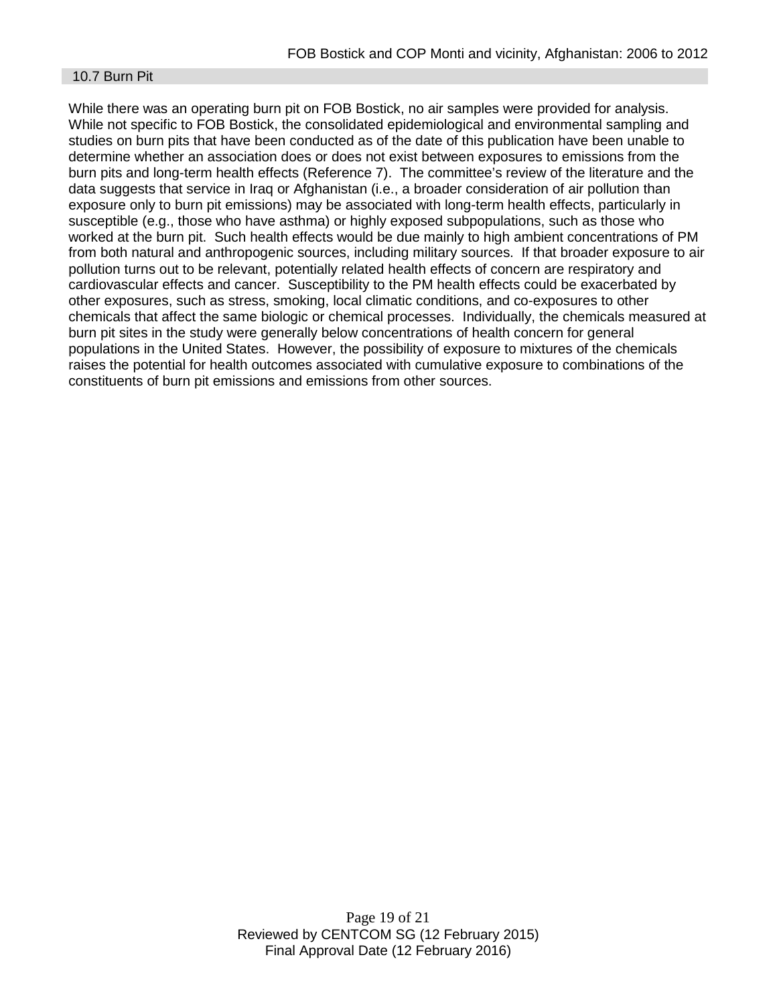#### 10.7 Burn Pit

While there was an operating burn pit on FOB Bostick, no air samples were provided for analysis. While not specific to FOB Bostick, the consolidated epidemiological and environmental sampling and studies on burn pits that have been conducted as of the date of this publication have been unable to determine whether an association does or does not exist between exposures to emissions from the burn pits and long-term health effects (Reference 7). The committee's review of the literature and the data suggests that service in Iraq or Afghanistan (i.e., a broader consideration of air pollution than exposure only to burn pit emissions) may be associated with long-term health effects, particularly in susceptible (e.g., those who have asthma) or highly exposed subpopulations, such as those who worked at the burn pit. Such health effects would be due mainly to high ambient concentrations of PM from both natural and anthropogenic sources, including military sources. If that broader exposure to air pollution turns out to be relevant, potentially related health effects of concern are respiratory and cardiovascular effects and cancer. Susceptibility to the PM health effects could be exacerbated by other exposures, such as stress, smoking, local climatic conditions, and co-exposures to other chemicals that affect the same biologic or chemical processes. Individually, the chemicals measured at burn pit sites in the study were generally below concentrations of health concern for general populations in the United States. However, the possibility of exposure to mixtures of the chemicals raises the potential for health outcomes associated with cumulative exposure to combinations of the constituents of burn pit emissions and emissions from other sources.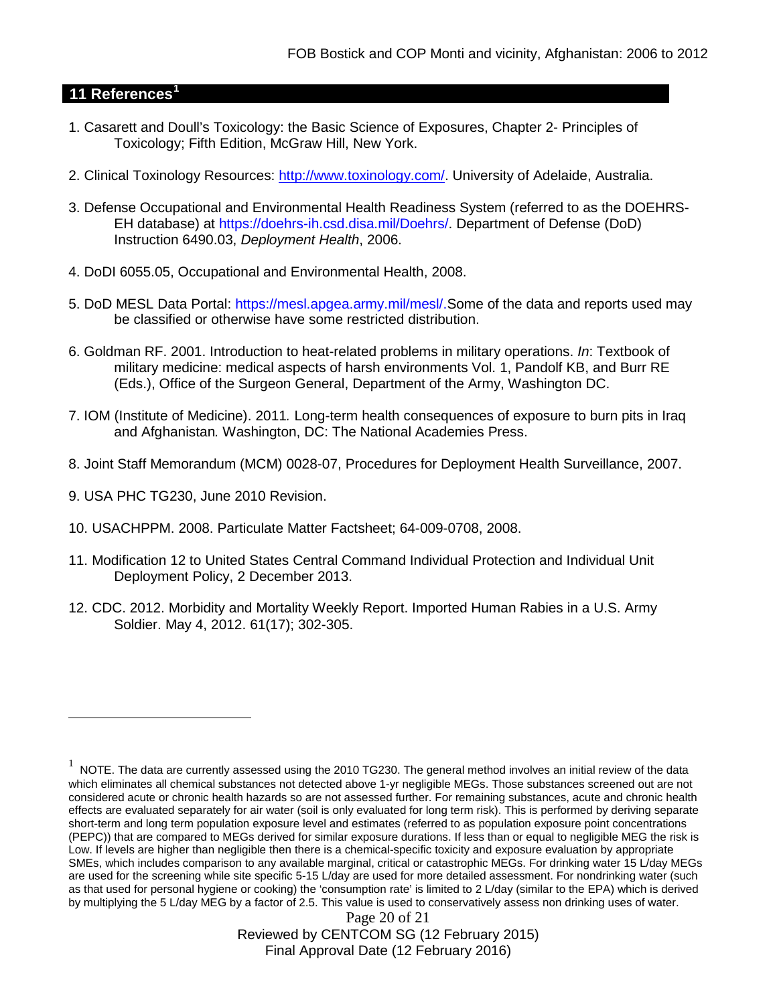## **11 References[1](#page-19-0)**

- 1. Casarett and Doull's Toxicology: the Basic Science of Exposures, Chapter 2- Principles of Toxicology; Fifth Edition, McGraw Hill, New York.
- 2. Clinical Toxinology Resources: [http://www.toxinology.com/.](http://www.toxinology.com/) University of Adelaide, Australia.
- 3. Defense Occupational and Environmental Health Readiness System (referred to as the DOEHRS-EH database) at https://doehrs-ih.csd.disa.mil/Doehrs/. Department of Defense (DoD) Instruction 6490.03, *Deployment Health*, 2006.
- 4. DoDI 6055.05, Occupational and Environmental Health, 2008.
- 5. DoD MESL Data Portal: https://mesl.apgea.army.mil/mesl/.Some of the data and reports used may be classified or otherwise have some restricted distribution.
- 6. Goldman RF. 2001. Introduction to heat-related problems in military operations. *In*: Textbook of military medicine: medical aspects of harsh environments Vol. 1, Pandolf KB, and Burr RE (Eds.), Office of the Surgeon General, Department of the Army, Washington DC.
- 7. IOM (Institute of Medicine). 2011*.* Long-term health consequences of exposure to burn pits in Iraq and Afghanistan*.* Washington, DC: The National Academies Press.
- 8. Joint Staff Memorandum (MCM) 0028-07, Procedures for Deployment Health Surveillance, 2007.
- 9. USA PHC TG230, June 2010 Revision.

 $\overline{a}$ 

- 10. USACHPPM. 2008. Particulate Matter Factsheet; 64-009-0708, 2008.
- 11. Modification 12 to United States Central Command Individual Protection and Individual Unit Deployment Policy, 2 December 2013.
- 12. CDC. 2012. Morbidity and Mortality Weekly Report. Imported Human Rabies in a U.S. Army Soldier. May 4, 2012. 61(17); 302-305.

Page 20 of 21 Reviewed by CENTCOM SG (12 February 2015) Final Approval Date (12 February 2016)

<span id="page-19-0"></span> $1$  NOTE. The data are currently assessed using the 2010 TG230. The general method involves an initial review of the data which eliminates all chemical substances not detected above 1-yr negligible MEGs. Those substances screened out are not considered acute or chronic health hazards so are not assessed further. For remaining substances, acute and chronic health effects are evaluated separately for air water (soil is only evaluated for long term risk). This is performed by deriving separate short-term and long term population exposure level and estimates (referred to as population exposure point concentrations (PEPC)) that are compared to MEGs derived for similar exposure durations. If less than or equal to negligible MEG the risk is Low. If levels are higher than negligible then there is a chemical-specific toxicity and exposure evaluation by appropriate SMEs, which includes comparison to any available marginal, critical or catastrophic MEGs. For drinking water 15 L/day MEGs are used for the screening while site specific 5-15 L/day are used for more detailed assessment. For nondrinking water (such as that used for personal hygiene or cooking) the 'consumption rate' is limited to 2 L/day (similar to the EPA) which is derived by multiplying the 5 L/day MEG by a factor of 2.5. This value is used to conservatively assess non drinking uses of water.